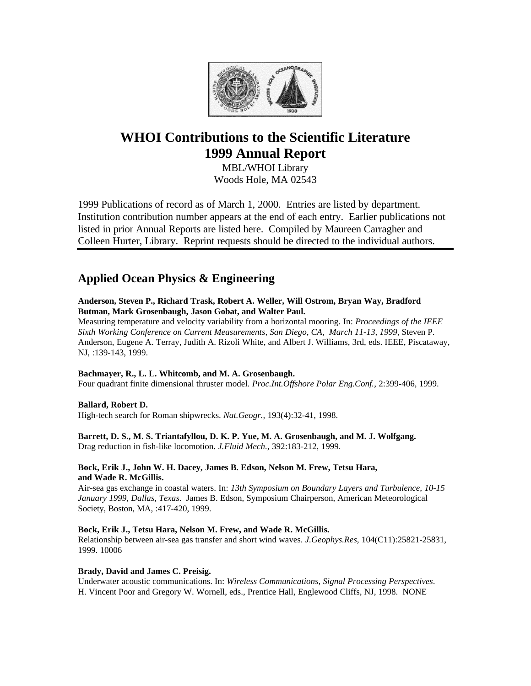

# **WHOI Contributions to the Scientific Literature 1999 Annual Report**

MBL/WHOI Library Woods Hole, MA 02543

1999 Publications of record as of March 1, 2000. Entries are listed by department. Institution contribution number appears at the end of each entry. Earlier publications not listed in prior Annual Reports are listed here. Compiled by Maureen Carragher and Colleen Hurter, Library. Reprint requests should be directed to the individual authors.

# **Applied Ocean Physics & Engineering**

**Anderson, Steven P., Richard Trask, Robert A. Weller, Will Ostrom, Bryan Way, Bradford Butman, Mark Grosenbaugh, Jason Gobat, and Walter Paul.**

Measuring temperature and velocity variability from a horizontal mooring. In: *Proceedings of the IEEE Sixth Working Conference on Current Measurements, San Diego, CA, March 11-13, 1999,* Steven P. Anderson, Eugene A. Terray, Judith A. Rizoli White, and Albert J. Williams, 3rd, eds. IEEE, Piscataway, NJ, :139-143, 1999.

# **Bachmayer, R., L. L. Whitcomb, and M. A. Grosenbaugh.**

Four quadrant finite dimensional thruster model. *Proc.Int.Offshore Polar Eng.Conf.*, 2:399-406, 1999.

# **Ballard, Robert D.**

High-tech search for Roman shipwrecks. *Nat.Geogr.,* 193(4):32-41, 1998.

# **Barrett, D. S., M. S. Triantafyllou, D. K. P. Yue, M. A. Grosenbaugh, and M. J. Wolfgang.**

Drag reduction in fish-like locomotion. *J.Fluid Mech.,* 392:183-212, 1999.

# **Bock, Erik J., John W. H. Dacey, James B. Edson, Nelson M. Frew, Tetsu Hara, and Wade R. McGillis.**

Air-sea gas exchange in coastal waters. In: *13th Symposium on Boundary Layers and Turbulence, 10-15 January 1999, Dallas, Texas.* James B. Edson, Symposium Chairperson, American Meteorological Society, Boston, MA, :417-420, 1999.

# **Bock, Erik J., Tetsu Hara, Nelson M. Frew, and Wade R. McGillis.**

Relationship between air-sea gas transfer and short wind waves. *J.Geophys.Res*, 104(C11):25821-25831, 1999. 10006

# **Brady, David and James C. Preisig.**

Underwater acoustic communications. In: *Wireless Communications, Signal Processing Perspectives*. H. Vincent Poor and Gregory W. Wornell, eds., Prentice Hall, Englewood Cliffs, NJ, 1998. NONE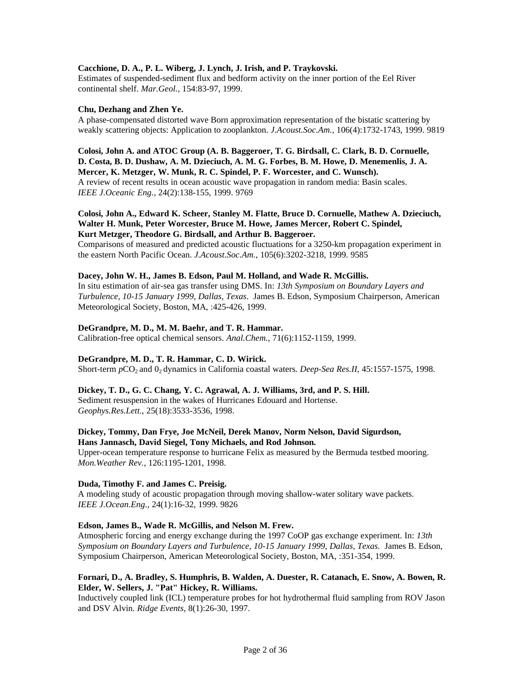# **Cacchione, D. A., P. L. Wiberg, J. Lynch, J. Irish, and P. Traykovski.**

Estimates of suspended-sediment flux and bedform activity on the inner portion of the Eel River continental shelf. *Mar.Geol.,* 154:83-97, 1999.

## **Chu, Dezhang and Zhen Ye.**

A phase-compensated distorted wave Born approximation representation of the bistatic scattering by weakly scattering objects: Application to zooplankton. *J.Acoust.Soc.Am.,* 106(4):1732-1743, 1999. 9819

# **Colosi, John A. and ATOC Group (A. B. Baggeroer, T. G. Birdsall, C. Clark, B. D. Cornuelle, D. Costa, B. D. Dushaw, A. M. Dzieciuch, A. M. G. Forbes, B. M. Howe, D. Menemenlis, J. A. Mercer, K. Metzger, W. Munk, R. C. Spindel, P. F. Worcester, and C. Wunsch).** A review of recent results in ocean acoustic wave propagation in random media: Basin scales.

*IEEE J.Oceanic Eng.,* 24(2):138-155, 1999. 9769

# **Colosi, John A., Edward K. Scheer, Stanley M. Flatte, Bruce D. Cornuelle, Mathew A. Dzieciuch, Walter H. Munk, Peter Worcester, Bruce M. Howe, James Mercer, Robert C. Spindel, Kurt Metzger, Theodore G. Birdsall, and Arthur B. Baggeroer.**

Comparisons of measured and predicted acoustic fluctuations for a 3250-km propagation experiment in the eastern North Pacific Ocean. *J.Acoust.Soc.Am.*, 105(6):3202-3218, 1999. 9585

# **Dacey, John W. H., James B. Edson, Paul M. Holland, and Wade R. McGillis.**

In situ estimation of air-sea gas transfer using DMS. In: *13th Symposium on Boundary Layers and Turbulence, 10-15 January 1999, Dallas, Texas*. James B. Edson, Symposium Chairperson, American Meteorological Society, Boston, MA, :425-426, 1999.

## **DeGrandpre, M. D., M. M. Baehr, and T. R. Hammar.**

Calibration-free optical chemical sensors. *Anal.Chem.*, 71(6):1152-1159, 1999.

# **DeGrandpre, M. D., T. R. Hammar, C. D. Wirick.**

Short-term  $pCO_2$  and  $O_2$  dynamics in California coastal waters. *Deep-Sea Res.II*, 45:1557-1575, 1998.

## **Dickey, T. D., G. C. Chang, Y. C. Agrawal, A. J. Williams, 3rd, and P. S. Hill.** Sediment resuspension in the wakes of Hurricanes Edouard and Hortense.

*Geophys.Res.Lett.*, 25(18):3533-3536, 1998.

# **Dickey, Tommy, Dan Frye, Joe McNeil, Derek Manov, Norm Nelson, David Sigurdson, Hans Jannasch, David Siegel, Tony Michaels, and Rod Johnson.**

Upper-ocean temperature response to hurricane Felix as measured by the Bermuda testbed mooring. *Mon.Weather Rev.,* 126:1195-1201, 1998.

# **Duda, Timothy F. and James C. Preisig.**

A modeling study of acoustic propagation through moving shallow-water solitary wave packets. *IEEE J.Ocean.Eng.,* 24(1):16-32, 1999. 9826

# **Edson, James B., Wade R. McGillis, and Nelson M. Frew.**

Atmospheric forcing and energy exchange during the 1997 CoOP gas exchange experiment. In: *13th Symposium on Boundary Layers and Turbulence, 10-15 January 1999, Dallas, Texas.* James B. Edson, Symposium Chairperson, American Meteorological Society, Boston, MA, :351-354, 1999.

# **Fornari, D., A. Bradley, S. Humphris, B. Walden, A. Duester, R. Catanach, E. Snow, A. Bowen, R. Elder, W. Sellers, J. "Pat" Hickey, R. Williams.**

Inductively coupled link (ICL) temperature probes for hot hydrothermal fluid sampling from ROV Jason and DSV Alvin. *Ridge Events*, 8(1):26-30, 1997.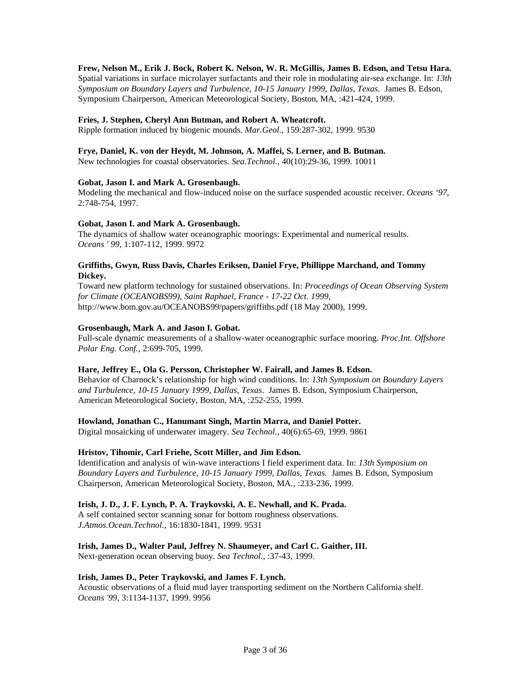## **Frew, Nelson M., Erik J. Bock, Robert K. Nelson, W. R. McGillis, James B. Edson, and Tetsu Hara.**

Spatial variations in surface microlayer surfactants and their role in modulating air-sea exchange. In: *13th Symposium on Boundary Layers and Turbulence, 10-15 January 1999, Dallas, Texas.* James B. Edson, Symposium Chairperson, American Meteorological Society, Boston, MA, :421-424, 1999.

#### **Fries, J. Stephen, Cheryl Ann Butman, and Robert A. Wheatcroft.**

Ripple formation induced by biogenic mounds. *Mar.Geol.,* 159:287-302, 1999. 9530

#### **Frye, Daniel, K. von der Heydt, M. Johnson, A. Maffei, S. Lerner, and B. Butman.**

New technologies for coastal observatories. *Sea.Technol.,* 40(10):29-36, 1999. 10011

#### **Gobat, Jason I. and Mark A. Grosenbaugh.**

Modeling the mechanical and flow-induced noise on the surface suspended acoustic receiver. *Oceans '97*, 2:748-754, 1997.

#### **Gobat, Jason I. and Mark A. Grosenbaugh.**

The dynamics of shallow water oceanographic moorings: Experimental and numerical results. *Oceans ' 99*, 1:107-112, 1999. 9972

## **Griffiths, Gwyn, Russ Davis, Charles Eriksen, Daniel Frye, Phillippe Marchand, and Tommy Dickey.**

Toward new platform technology for sustained observations. In: *Proceedings of Ocean Observing System for Climate (OCEANOBS99), Saint Raphael, France - 17-22 Oct. 1999*, http://www.bom.gov.au/OCEANOBS99/papers/griffiths.pdf (18 May 2000), 1999.

## **Grosenbaugh, Mark A. and Jason I. Gobat.**

Full-scale dynamic measurements of a shallow-water oceanographic surface mooring. *Proc.Int. Offshore Polar Eng. Conf.*, 2:699-705, 1999.

#### **Hare, Jeffrey E., Ola G. Persson, Christopher W. Fairall, and James B. Edson.**

Behavior of Charnock's relationship for high wind conditions. In: *13th Symposium on Boundary Layers and Turbulence, 10-15 January 1999, Dallas, Texas*. James B. Edson, Symposium Chairperson, American Meteorological Society, Boston, MA, :252-255, 1999.

## **Howland, Jonathan C., Hanumant Singh, Martin Marra, and Daniel Potter.**

Digital mosaicking of underwater imagery. *Sea Technol.,* 40(6):65-69, 1999. 9861

# **Hristov, Tihomir, Carl Friehe, Scott Miller, and Jim Edson.**

Identification and analysis of win-wave interactions I field experiment data. In: *13th Symposium on Boundary Layers and Turbulence, 10-15 January 1999, Dallas, Texas.* James B. Edson, Symposium Chairperson, American Meteorological Society, Boston, MA*.*, :233-236, 1999.

#### **Irish, J. D., J. F. Lynch, P. A. Traykovski, A. E. Newhall, and K. Prada.**

A self contained sector scanning sonar for bottom roughness observations. *J.Atmos.Ocean.Technol.,* 16:1830-1841, 1999. 9531

#### **Irish, James D., Walter Paul, Jeffrey N. Shaumeyer, and Carl C. Gaither, III.**

Next-generation ocean observing buoy. *Sea Technol.,* :37-43, 1999.

## **Irish, James D., Peter Traykovski, and James F. Lynch.**

Acoustic observations of a fluid mud layer transporting sediment on the Northern California shelf. *Oceans '99*, 3:1134-1137, 1999. 9956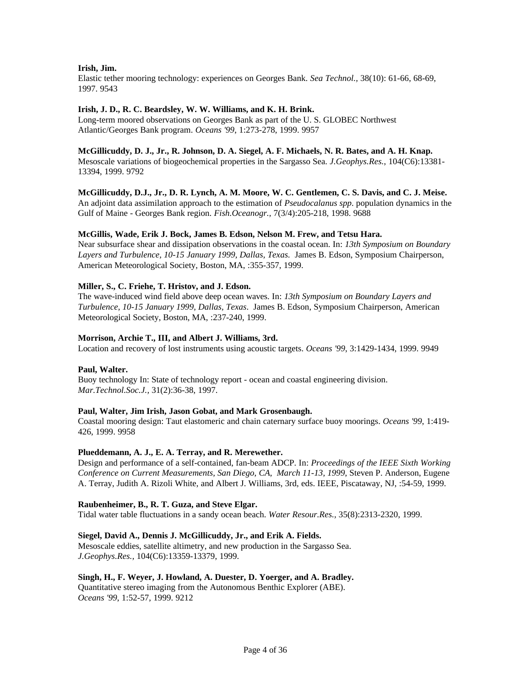# **Irish, Jim.**

Elastic tether mooring technology: experiences on Georges Bank. *Sea Technol.,* 38(10): 61-66, 68-69, 1997. 9543

## **Irish, J. D., R. C. Beardsley, W. W. Williams, and K. H. Brink.**

Long-term moored observations on Georges Bank as part of the U. S. GLOBEC Northwest Atlantic/Georges Bank program. *Oceans '99*, 1:273-278, 1999. 9957

#### **McGillicuddy, D. J., Jr., R. Johnson, D. A. Siegel, A. F. Michaels, N. R. Bates, and A. H. Knap.**

Mesoscale variations of biogeochemical properties in the Sargasso Sea. *J.Geophys.Res.*, 104(C6):13381- 13394, 1999. 9792

**McGillicuddy, D.J., Jr., D. R. Lynch, A. M. Moore, W. C. Gentlemen, C. S. Davis, and C. J. Meise.** An adjoint data assimilation approach to the estimation of *Pseudocalanus spp*. population dynamics in the Gulf of Maine - Georges Bank region. *Fish.Oceanogr.,* 7(3/4):205-218, 1998. 9688

## **McGillis, Wade, Erik J. Bock, James B. Edson, Nelson M. Frew, and Tetsu Hara.**

Near subsurface shear and dissipation observations in the coastal ocean. In: *13th Symposium on Boundary Layers and Turbulence, 10-15 January 1999, Dallas, Texas.* James B. Edson, Symposium Chairperson, American Meteorological Society, Boston, MA, :355-357, 1999.

## **Miller, S., C. Friehe, T. Hristov, and J. Edson.**

The wave-induced wind field above deep ocean waves. In: *13th Symposium on Boundary Layers and Turbulence, 10-15 January 1999, Dallas, Texas*. James B. Edson, Symposium Chairperson, American Meteorological Society, Boston, MA, :237-240, 1999.

## **Morrison, Archie T., III, and Albert J. Williams, 3rd.**

Location and recovery of lost instruments using acoustic targets. *Oceans '99*, 3:1429-1434, 1999. 9949

# **Paul, Walter.**

Buoy technology In: State of technology report - ocean and coastal engineering division. *Mar.Technol.Soc.J.,* 31(2):36-38, 1997.

#### **Paul, Walter, Jim Irish, Jason Gobat, and Mark Grosenbaugh.**

Coastal mooring design: Taut elastomeric and chain caternary surface buoy moorings. *Oceans '99*, 1:419- 426, 1999. 9958

#### **Plueddemann, A. J., E. A. Terray, and R. Merewether.**

Design and performance of a self-contained, fan-beam ADCP. In: *Proceedings of the IEEE Sixth Working Conference on Current Measurements, San Diego, CA, March 11-13, 1999*, Steven P. Anderson, Eugene A. Terray, Judith A. Rizoli White, and Albert J. Williams, 3rd, eds. IEEE, Piscataway, NJ, :54-59, 1999.

#### **Raubenheimer, B., R. T. Guza, and Steve Elgar.**

Tidal water table fluctuations in a sandy ocean beach. *Water Resour.Res.,* 35(8):2313-2320, 1999.

# **Siegel, David A., Dennis J. McGillicuddy, Jr., and Erik A. Fields.**

Mesoscale eddies, satellite altimetry, and new production in the Sargasso Sea. *J.Geophys.Res.,* 104(C6):13359-13379, 1999.

# **Singh, H., F. Weyer, J. Howland, A. Duester, D. Yoerger, and A. Bradley.**

Quantitative stereo imaging from the Autonomous Benthic Explorer (ABE). *Oceans '99*, 1:52-57, 1999. 9212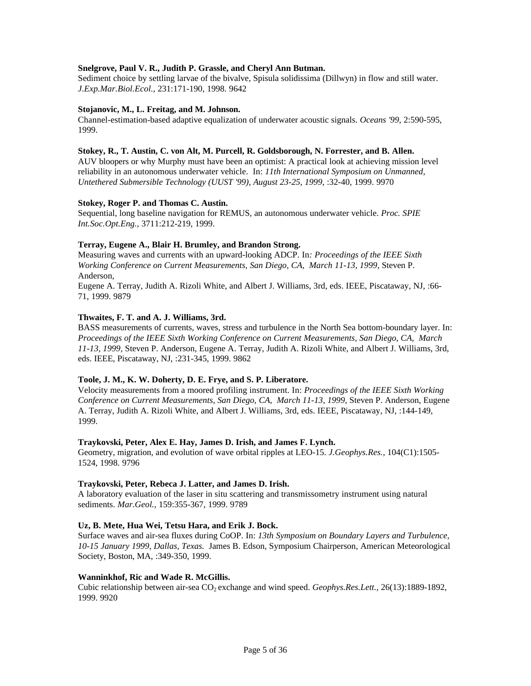# **Snelgrove, Paul V. R., Judith P. Grassle, and Cheryl Ann Butman.**

Sediment choice by settling larvae of the bivalve, Spisula solidissima (Dillwyn) in flow and still water. *J.Exp.Mar.Biol.Ecol.,* 231:171-190, 1998. 9642

## **Stojanovic, M., L. Freitag, and M. Johnson.**

Channel-estimation-based adaptive equalization of underwater acoustic signals. *Oceans '99*, 2:590-595, 1999.

## **Stokey, R., T. Austin, C. von Alt, M. Purcell, R. Goldsborough, N. Forrester, and B. Allen.**

AUV bloopers or why Murphy must have been an optimist: A practical look at achieving mission level reliability in an autonomous underwater vehicle. In: *11th International Symposium on Unmanned, Untethered Submersible Technology (UUST '99), August 23-25, 1999*, :32-40, 1999. 9970

## **Stokey, Roger P. and Thomas C. Austin.**

Sequential, long baseline navigation for REMUS, an autonomous underwater vehicle. *Proc. SPIE Int.Soc.Opt.Eng.,* 3711:212-219, 1999.

## **Terray, Eugene A., Blair H. Brumley, and Brandon Strong.**

Measuring waves and currents with an upward-looking ADCP. In*: Proceedings of the IEEE Sixth Working Conference on Current Measurements, San Diego, CA, March 11-13, 1999,* Steven P. Anderson,

Eugene A. Terray, Judith A. Rizoli White, and Albert J. Williams, 3rd, eds. IEEE, Piscataway, NJ, :66- 71, 1999. 9879

## **Thwaites, F. T. and A. J. Williams, 3rd.**

BASS measurements of currents, waves, stress and turbulence in the North Sea bottom-boundary layer. In: *Proceedings of the IEEE Sixth Working Conference on Current Measurements, San Diego, CA, March 11-13, 1999,* Steven P. Anderson, Eugene A. Terray, Judith A. Rizoli White, and Albert J. Williams, 3rd, eds. IEEE, Piscataway, NJ, :231-345, 1999. 9862

#### **Toole, J. M., K. W. Doherty, D. E. Frye, and S. P. Liberatore.**

Velocity measurements from a moored profiling instrument. In: *Proceedings of the IEEE Sixth Working Conference on Current Measurements, San Diego, CA, March 11-13, 1999*, Steven P. Anderson, Eugene A. Terray, Judith A. Rizoli White, and Albert J. Williams, 3rd, eds. IEEE, Piscataway, NJ, :144-149, 1999.

## **Traykovski, Peter, Alex E. Hay, James D. Irish, and James F. Lynch.**

Geometry, migration, and evolution of wave orbital ripples at LEO-15. *J.Geophys.Res.,* 104(C1):1505- 1524, 1998. 9796

# **Traykovski, Peter, Rebeca J. Latter, and James D. Irish.**

A laboratory evaluation of the laser in situ scattering and transmissometry instrument using natural sediments. *Mar.Geol.,* 159:355-367, 1999. 9789

# **Uz, B. Mete, Hua Wei, Tetsu Hara, and Erik J. Bock.**

Surface waves and air-sea fluxes during CoOP. In: *13th Symposium on Boundary Layers and Turbulence, 10-15 January 1999, Dallas, Texas.* James B. Edson, Symposium Chairperson*,* American Meteorological Society, Boston, MA, :349-350, 1999.

# **Wanninkhof, Ric and Wade R. McGillis.**

Cubic relationship between air-sea CO<sup>2</sup> exchange and wind speed. *Geophys.Res.Lett.,* 26(13):1889-1892, 1999. 9920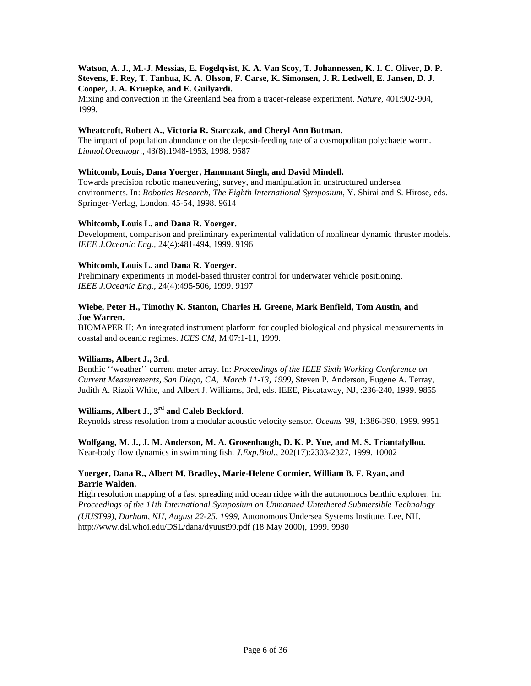# **Watson, A. J., M.-J. Messias, E. Fogelqvist, K. A. Van Scoy, T. Johannessen, K. I. C. Oliver, D. P. Stevens, F. Rey, T. Tanhua, K. A. Olsson, F. Carse, K. Simonsen, J. R. Ledwell, E. Jansen, D. J. Cooper, J. A. Kruepke, and E. Guilyardi.**

Mixing and convection in the Greenland Sea from a tracer-release experiment. *Nature*, 401:902-904, 1999.

# **Wheatcroft, Robert A., Victoria R. Starczak, and Cheryl Ann Butman.**

The impact of population abundance on the deposit-feeding rate of a cosmopolitan polychaete worm. *Limnol.Oceanogr.,* 43(8):1948-1953, 1998. 9587

## **Whitcomb, Louis, Dana Yoerger, Hanumant Singh, and David Mindell.**

Towards precision robotic maneuvering, survey, and manipulation in unstructured undersea environments. In: *Robotics Research, The Eighth International Symposium*, Y. Shirai and S. Hirose, eds. Springer-Verlag, London, 45-54, 1998. 9614

## **Whitcomb, Louis L. and Dana R. Yoerger.**

Development, comparison and preliminary experimental validation of nonlinear dynamic thruster models. *IEEE J.Oceanic Eng.,* 24(4):481-494, 1999. 9196

## **Whitcomb, Louis L. and Dana R. Yoerger.**

Preliminary experiments in model-based thruster control for underwater vehicle positioning. *IEEE J.Oceanic Eng.,* 24(4):495-506, 1999. 9197

# **Wiebe, Peter H., Timothy K. Stanton, Charles H. Greene, Mark Benfield, Tom Austin, and Joe Warren.**

BIOMAPER II: An integrated instrument platform for coupled biological and physical measurements in coastal and oceanic regimes. *ICES CM*, M:07:1-11, 1999.

# **Williams, Albert J., 3rd.**

Benthic ''weather'' current meter array. In: *Proceedings of the IEEE Sixth Working Conference on Current Measurements, San Diego, CA, March 11-13, 1999,* Steven P. Anderson, Eugene A. Terray, Judith A. Rizoli White, and Albert J. Williams, 3rd, eds. IEEE, Piscataway, NJ, :236-240, 1999. 9855

# **Williams, Albert J., 3rd and Caleb Beckford.**

Reynolds stress resolution from a modular acoustic velocity sensor. *Oceans '99*, 1:386-390, 1999. 9951

**Wolfgang, M. J., J. M. Anderson, M. A. Grosenbaugh, D. K. P. Yue, and M. S. Triantafyllou.** Near-body flow dynamics in swimming fish. *J.Exp.Biol.,* 202(17):2303-2327, 1999. 10002

# **Yoerger, Dana R., Albert M. Bradley, Marie-Helene Cormier, William B. F. Ryan, and Barrie Walden.**

High resolution mapping of a fast spreading mid ocean ridge with the autonomous benthic explorer. In: *Proceedings of the 11th International Symposium on Unmanned Untethered Submersible Technology (UUST99), Durham, NH, August 22-25, 1999*, Autonomous Undersea Systems Institute, Lee, NH. http://www.dsl.whoi.edu/DSL/dana/dyuust99.pdf (18 May 2000), 1999. 9980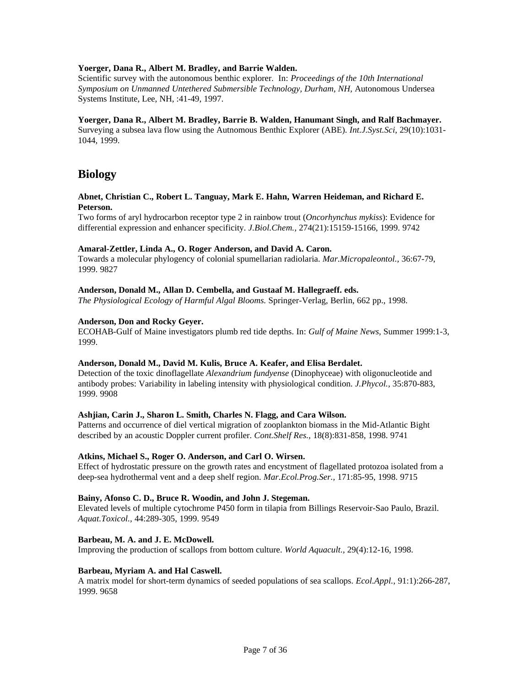# **Yoerger, Dana R., Albert M. Bradley, and Barrie Walden.**

Scientific survey with the autonomous benthic explorer. In: *Proceedings of the 10th International Symposium on Unmanned Untethered Submersible Technology, Durham, NH,* Autonomous Undersea Systems Institute, Lee, NH, :41-49, 1997.

# **Yoerger, Dana R., Albert M. Bradley, Barrie B. Walden, Hanumant Singh, and Ralf Bachmayer.**

Surveying a subsea lava flow using the Autnomous Benthic Explorer (ABE). *Int.J.Syst.Sci*, 29(10):1031- 1044, 1999.

# **Biology**

## **Abnet, Christian C., Robert L. Tanguay, Mark E. Hahn, Warren Heideman, and Richard E. Peterson.**

Two forms of aryl hydrocarbon receptor type 2 in rainbow trout (*Oncorhynchus mykiss*): Evidence for differential expression and enhancer specificity. *J.Biol.Chem.,* 274(21):15159-15166, 1999. 9742

## **Amaral-Zettler, Linda A., O. Roger Anderson, and David A. Caron.**

Towards a molecular phylogency of colonial spumellarian radiolaria. *Mar.Micropaleontol.,* 36:67-79, 1999. 9827

# **Anderson, Donald M., Allan D. Cembella, and Gustaaf M. Hallegraeff. eds.**

*The Physiological Ecology of Harmful Algal Blooms.* Springer-Verlag, Berlin, 662 pp., 1998.

## **Anderson, Don and Rocky Geyer.**

ECOHAB-Gulf of Maine investigators plumb red tide depths. In: *Gulf of Maine News,* Summer 1999:1-3, 1999.

# **Anderson, Donald M., David M. Kulis, Bruce A. Keafer, and Elisa Berdalet.**

Detection of the toxic dinoflagellate *Alexandrium fundyense* (Dinophyceae) with oligonucleotide and antibody probes: Variability in labeling intensity with physiological condition. *J.Phycol.,* 35:870-883, 1999. 9908

# **Ashjian, Carin J., Sharon L. Smith, Charles N. Flagg, and Cara Wilson.**

Patterns and occurrence of diel vertical migration of zooplankton biomass in the Mid-Atlantic Bight described by an acoustic Doppler current profiler. *Cont.Shelf Res.,* 18(8):831-858, 1998. 9741

## **Atkins, Michael S., Roger O. Anderson, and Carl O. Wirsen.**

Effect of hydrostatic pressure on the growth rates and encystment of flagellated protozoa isolated from a deep-sea hydrothermal vent and a deep shelf region. *Mar.Ecol.Prog.Ser.,* 171:85-95, 1998. 9715

#### **Bainy, Afonso C. D., Bruce R. Woodin, and John J. Stegeman.**

Elevated levels of multiple cytochrome P450 form in tilapia from Billings Reservoir-Sao Paulo, Brazil. *Aquat.Toxicol.,* 44:289-305, 1999. 9549

#### **Barbeau, M. A. and J. E. McDowell.**

Improving the production of scallops from bottom culture. *World Aquacult.,* 29(4):12-16, 1998.

#### **Barbeau, Myriam A. and Hal Caswell.**

A matrix model for short-term dynamics of seeded populations of sea scallops. *Ecol.Appl.,* 91:1):266-287, 1999. 9658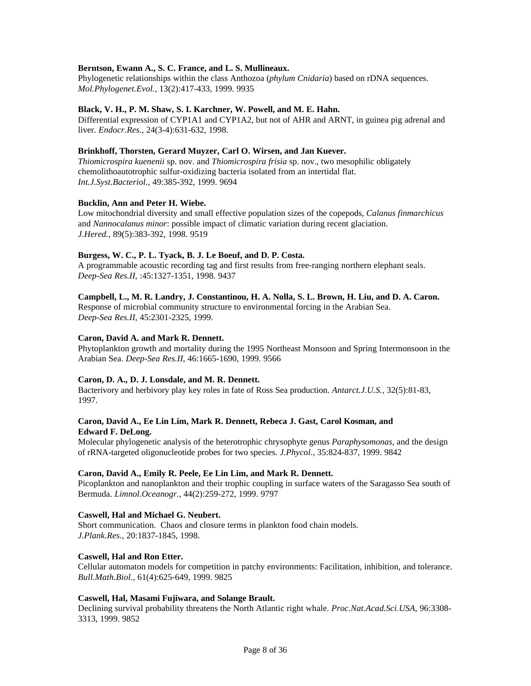# **Berntson, Ewann A., S. C. France, and L. S. Mullineaux.**

Phylogenetic relationships within the class Anthozoa (*phylum Cnidaria*) based on rDNA sequences. *Mol.Phylogenet.Evol.,* 13(2):417-433, 1999. 9935

## **Black, V. H., P. M. Shaw, S. I. Karchner, W. Powell, and M. E. Hahn.**

Differential expression of CYP1A1 and CYP1A2, but not of AHR and ARNT, in guinea pig adrenal and liver. *Endocr.Res.,* 24(3-4):631-632, 1998.

## **Brinkhoff, Thorsten, Gerard Muyzer, Carl O. Wirsen, and Jan Kuever.**

*Thiomicrospira kuenenii* sp. nov. and *Thiomicrospira frisia* sp. nov., two mesophilic obligately chemolithoautotrophic sulfur-oxidizing bacteria isolated from an intertidal flat. *Int.J.Syst.Bacteriol.*, 49:385-392, 1999. 9694

## **Bucklin, Ann and Peter H. Wiebe.**

Low mitochondrial diversity and small effective population sizes of the copepods, *Calanus finmarchicus* and *Nannocalanus minor*: possible impact of climatic variation during recent glaciation. *J.Hered.,* 89(5):383-392, 1998. 9519

## **Burgess, W. C., P. L. Tyack, B. J. Le Boeuf, and D. P. Costa.**

A programmable acoustic recording tag and first results from free-ranging northern elephant seals. *Deep-Sea Res.II*, :45:1327-1351, 1998. 9437

# **Campbell, L., M. R. Landry, J. Constantinou, H. A. Nolla, S. L. Brown, H. Liu, and D. A. Caron.**

Response of microbial community structure to environmental forcing in the Arabian Sea. *Deep-Sea Res.II*, 45:2301-2325, 1999.

## **Caron, David A. and Mark R. Dennett.**

Phytoplankton growth and mortality during the 1995 Northeast Monsoon and Spring Intermonsoon in the Arabian Sea. *Deep-Sea Res.II*, 46:1665-1690, 1999. 9566

#### **Caron, D. A., D. J. Lonsdale, and M. R. Dennett.**

Bacterivory and herbivory play key roles in fate of Ross Sea production. *Antarct.J.U.S.,* 32(5):81-83, 1997.

# **Caron, David A., Ee Lin Lim, Mark R. Dennett, Rebeca J. Gast, Carol Kosman, and Edward F. DeLong.**

Molecular phylogenetic analysis of the heterotrophic chrysophyte genus *Paraphysomonas*, and the design of rRNA-targeted oligonucleotide probes for two species. *J.Phycol.,* 35:824-837, 1999. 9842

#### **Caron, David A., Emily R. Peele, Ee Lin Lim, and Mark R. Dennett.**

Picoplankton and nanoplankton and their trophic coupling in surface waters of the Saragasso Sea south of Bermuda. *Limnol.Oceanogr.,* 44(2):259-272, 1999. 9797

## **Caswell, Hal and Michael G. Neubert.**

Short communication. Chaos and closure terms in plankton food chain models. *J.Plank.Res.,* 20:1837-1845, 1998.

# **Caswell, Hal and Ron Etter.**

Cellular automaton models for competition in patchy environments: Facilitation, inhibition, and tolerance. *Bull.Math.Biol.,* 61(4):625-649, 1999. 9825

#### **Caswell, Hal, Masami Fujiwara, and Solange Brault.**

Declining survival probability threatens the North Atlantic right whale. *Proc.Nat.Acad.Sci.USA*, 96:3308- 3313, 1999. 9852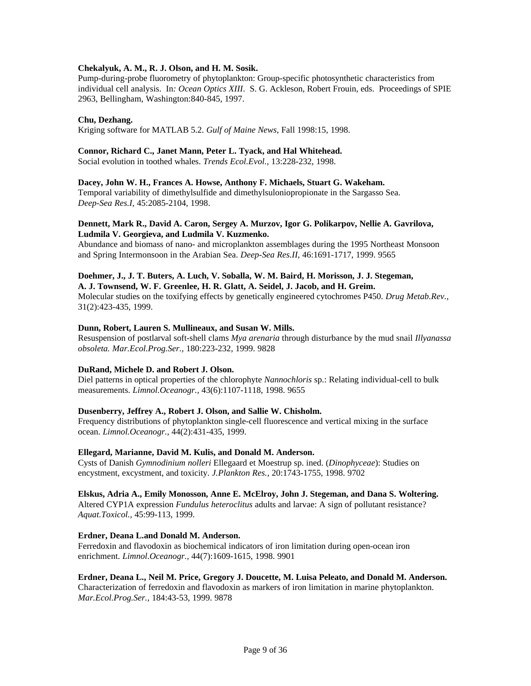# **Chekalyuk, A. M., R. J. Olson, and H. M. Sosik.**

Pump-during-probe fluorometry of phytoplankton: Group-specific photosynthetic characteristics from individual cell analysis. In*: Ocean Optics XIII*. S. G. Ackleson, Robert Frouin, eds. Proceedings of SPIE 2963, Bellingham, Washington:840-845, 1997.

## **Chu, Dezhang.**

Kriging software for MATLAB 5.2. *Gulf of Maine News*, Fall 1998:15, 1998.

#### **Connor, Richard C., Janet Mann, Peter L. Tyack, and Hal Whitehead.**

Social evolution in toothed whales. *Trends Ecol.Evol.,* 13:228-232, 1998.

#### **Dacey, John W. H., Frances A. Howse, Anthony F. Michaels, Stuart G. Wakeham.**

Temporal variability of dimethylsulfide and dimethylsuloniopropionate in the Sargasso Sea. *Deep-Sea Res.I*, 45:2085-2104, 1998.

# **Dennett, Mark R., David A. Caron, Sergey A. Murzov, Igor G. Polikarpov, Nellie A. Gavrilova, Ludmila V. Georgieva, and Ludmila V. Kuzmenko.**

Abundance and biomass of nano- and microplankton assemblages during the 1995 Northeast Monsoon and Spring Intermonsoon in the Arabian Sea. *Deep-Sea Res.II*, 46:1691-1717, 1999. 9565

# **Doehmer, J., J. T. Buters, A. Luch, V. Soballa, W. M. Baird, H. Morisson, J. J. Stegeman,**

**A. J. Townsend, W. F. Greenlee, H. R. Glatt, A. Seidel, J. Jacob, and H. Greim.** Molecular studies on the toxifying effects by genetically engineered cytochromes P450. *Drug Metab.Rev.,* 31(2):423-435, 1999.

#### **Dunn, Robert, Lauren S. Mullineaux, and Susan W. Mills.**

Resuspension of postlarval soft-shell clams *Mya arenaria* through disturbance by the mud snail *Illyanassa obsoleta. Mar.Ecol.Prog.Ser.,* 180:223-232, 1999. 9828

#### **DuRand, Michele D. and Robert J. Olson.**

Diel patterns in optical properties of the chlorophyte *Nannochloris* sp.: Relating individual-cell to bulk measurements. *Limnol.Oceanogr.,* 43(6):1107-1118, 1998. 9655

#### **Dusenberry, Jeffrey A., Robert J. Olson, and Sallie W. Chisholm.**

Frequency distributions of phytoplankton single-cell fluorescence and vertical mixing in the surface ocean. *Limnol.Oceanogr.,* 44(2):431-435, 1999.

#### **Ellegard, Marianne, David M. Kulis, and Donald M. Anderson.**

Cysts of Danish *Gymnodinium nolleri* Ellegaard et Moestrup sp. ined. (*Dinophyceae*): Studies on encystment, excystment, and toxicity. *J.Plankton Res.,* 20:1743-1755, 1998. 9702

#### **Elskus, Adria A., Emily Monosson, Anne E. McElroy, John J. Stegeman, and Dana S. Woltering.**

Altered CYP1A expression *Fundulus heteroclitus* adults and larvae: A sign of pollutant resistance? *Aquat.Toxicol.,* 45:99-113, 1999.

#### **Erdner, Deana L.and Donald M. Anderson.**

Ferredoxin and flavodoxin as biochemical indicators of iron limitation during open-ocean iron enrichment. *Limnol.Oceanogr.,* 44(7):1609-1615, 1998. 9901

#### **Erdner, Deana L., Neil M. Price, Gregory J. Doucette, M. Luisa Peleato, and Donald M. Anderson.**

Characterization of ferredoxin and flavodoxin as markers of iron limitation in marine phytoplankton. *Mar.Ecol.Prog.Ser.,* 184:43-53, 1999. 9878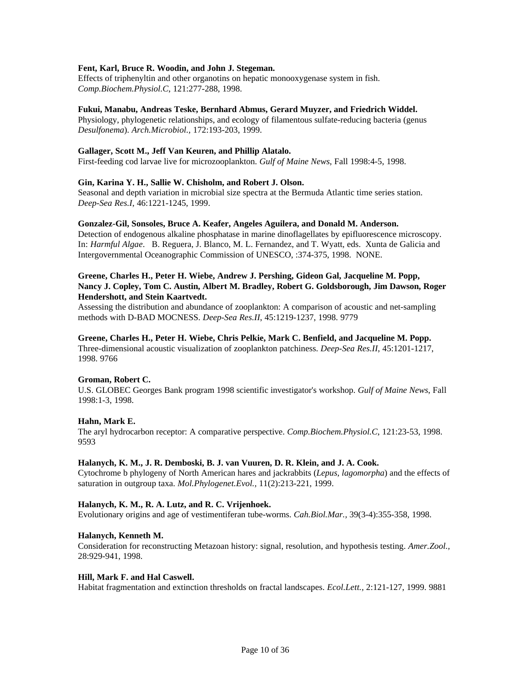## **Fent, Karl, Bruce R. Woodin, and John J. Stegeman.**

Effects of triphenyltin and other organotins on hepatic monooxygenase system in fish. *Comp.Biochem.Physiol.C*, 121:277-288, 1998.

#### **Fukui, Manabu, Andreas Teske, Bernhard Abmus, Gerard Muyzer, and Friedrich Widdel.**

Physiology, phylogenetic relationships, and ecology of filamentous sulfate-reducing bacteria (genus *Desulfonema*). *Arch.Microbiol.,* 172:193-203, 1999.

## **Gallager, Scott M., Jeff Van Keuren, and Phillip Alatalo.**

First-feeding cod larvae live for microzooplankton. *Gulf of Maine News*, Fall 1998:4-5, 1998.

## **Gin, Karina Y. H., Sallie W. Chisholm, and Robert J. Olson.**

Seasonal and depth variation in microbial size spectra at the Bermuda Atlantic time series station. *Deep-Sea Res.I*, 46:1221-1245, 1999.

#### **Gonzalez-Gil, Sonsoles, Bruce A. Keafer, Angeles Aguilera, and Donald M. Anderson.**

Detection of endogenous alkaline phosphatase in marine dinoflagellates by epifluorescence microscopy. In: *Harmful Algae*. B. Reguera, J. Blanco, M. L. Fernandez, and T. Wyatt, eds. Xunta de Galicia and Intergovernmental Oceanographic Commission of UNESCO, :374-375, 1998. NONE.

# **Greene, Charles H., Peter H. Wiebe, Andrew J. Pershing, Gideon Gal, Jacqueline M. Popp, Nancy J. Copley, Tom C. Austin, Albert M. Bradley, Robert G. Goldsborough, Jim Dawson, Roger Hendershott, and Stein Kaartvedt.**

Assessing the distribution and abundance of zooplankton: A comparison of acoustic and net-sampling methods with D-BAD MOCNESS. *Deep-Sea Res.II*, 45:1219-1237, 1998. 9779

# **Greene, Charles H., Peter H. Wiebe, Chris Pelkie, Mark C. Benfield, and Jacqueline M. Popp.**

Three-dimensional acoustic visualization of zooplankton patchiness. *Deep-Sea Res.II*, 45:1201-1217, 1998. 9766

# **Groman, Robert C.**

U.S. GLOBEC Georges Bank program 1998 scientific investigator's workshop. *Gulf of Maine News*, Fall 1998:1-3, 1998.

# **Hahn, Mark E.**

The aryl hydrocarbon receptor: A comparative perspective. *Comp.Biochem.Physiol.C*, 121:23-53, 1998. 9593

## **Halanych, K. M., J. R. Demboski, B. J. van Vuuren, D. R. Klein, and J. A. Cook.**

Cytochrome b phylogeny of North American hares and jackrabbits (*Lepus, lagomorpha*) and the effects of saturation in outgroup taxa. *Mol.Phylogenet.Evol.,* 11(2):213-221, 1999.

# **Halanych, K. M., R. A. Lutz, and R. C. Vrijenhoek.**

Evolutionary origins and age of vestimentiferan tube-worms. *Cah.Biol.Mar.,* 39(3-4):355-358, 1998.

#### **Halanych, Kenneth M.**

Consideration for reconstructing Metazoan history: signal, resolution, and hypothesis testing. *Amer.Zool.,* 28:929-941, 1998.

## **Hill, Mark F. and Hal Caswell.**

Habitat fragmentation and extinction thresholds on fractal landscapes. *Ecol.Lett.,* 2:121-127, 1999. 9881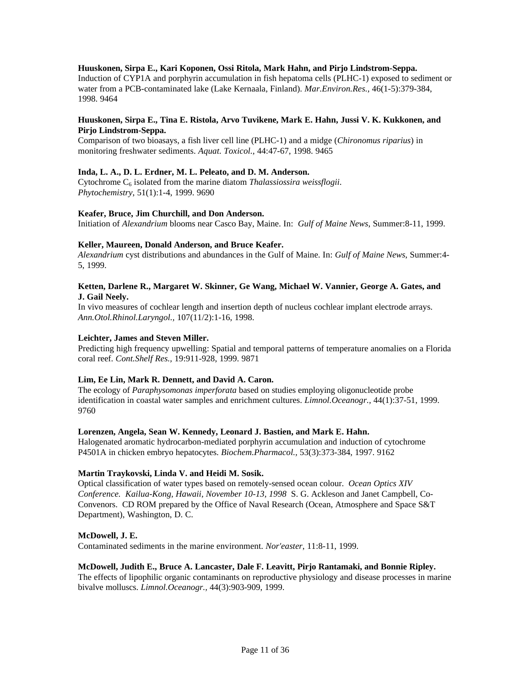# **Huuskonen, Sirpa E., Kari Koponen, Ossi Ritola, Mark Hahn, and Pirjo Lindstrom-Seppa.**

Induction of CYP1A and porphyrin accumulation in fish hepatoma cells (PLHC-1) exposed to sediment or water from a PCB-contaminated lake (Lake Kernaala, Finland). *Mar.Environ.Res.,* 46(1-5):379-384, 1998. 9464

# **Huuskonen, Sirpa E., Tina E. Ristola, Arvo Tuvikene, Mark E. Hahn, Jussi V. K. Kukkonen, and Pirjo Lindstrom-Seppa.**

Comparison of two bioasays, a fish liver cell line (PLHC-1) and a midge (*Chironomus riparius*) in monitoring freshwater sediments. *Aquat. Toxicol.,* 44:47-67, 1998. 9465

## **Inda, L. A., D. L. Erdner, M. L. Peleato, and D. M. Anderson.**

Cytochrome C<sub>6</sub> isolated from the marine diatom *Thalassiossira weissflogii*. *Phytochemistry*, 51(1):1-4, 1999. 9690

#### **Keafer, Bruce, Jim Churchill, and Don Anderson.**

Initiation of *Alexandrium* blooms near Casco Bay, Maine. In: *Gulf of Maine News*, Summer:8-11, 1999.

#### **Keller, Maureen, Donald Anderson, and Bruce Keafer.**

*Alexandrium* cyst distributions and abundances in the Gulf of Maine. In: *Gulf of Maine News*, Summer:4- 5, 1999.

# **Ketten, Darlene R., Margaret W. Skinner, Ge Wang, Michael W. Vannier, George A. Gates, and J. Gail Neely.**

In vivo measures of cochlear length and insertion depth of nucleus cochlear implant electrode arrays. *Ann.Otol.Rhinol.Laryngol.,* 107(11/2):1-16, 1998.

## **Leichter, James and Steven Miller.**

Predicting high frequency upwelling: Spatial and temporal patterns of temperature anomalies on a Florida coral reef. *Cont.Shelf Res.,* 19:911-928, 1999. 9871

#### **Lim, Ee Lin, Mark R. Dennett, and David A. Caron.**

The ecology of *Paraphysomonas imperforata* based on studies employing oligonucleotide probe identification in coastal water samples and enrichment cultures. *Limnol.Oceanogr.,* 44(1):37-51, 1999. 9760

#### **Lorenzen, Angela, Sean W. Kennedy, Leonard J. Bastien, and Mark E. Hahn.**

Halogenated aromatic hydrocarbon-mediated porphyrin accumulation and induction of cytochrome P4501A in chicken embryo hepatocytes. *Biochem.Pharmacol.,* 53(3):373-384, 1997. 9162

# **Martin Traykovski, Linda V. and Heidi M. Sosik.**

Optical classification of water types based on remotely-sensed ocean colour. *Ocean Optics XIV Conference. Kailua-Kong, Hawaii, November 10-13, 1998* S. G. Ackleson and Janet Campbell, Co-Convenors. CD ROM prepared by the Office of Naval Research (Ocean, Atmosphere and Space S&T Department), Washington, D. C.

#### **McDowell, J. E.**

Contaminated sediments in the marine environment. *Nor'easter*, 11:8-11, 1999.

#### **McDowell, Judith E., Bruce A. Lancaster, Dale F. Leavitt, Pirjo Rantamaki, and Bonnie Ripley.**

The effects of lipophilic organic contaminants on reproductive physiology and disease processes in marine bivalve molluscs. *Limnol.Oceanogr.,* 44(3):903-909, 1999.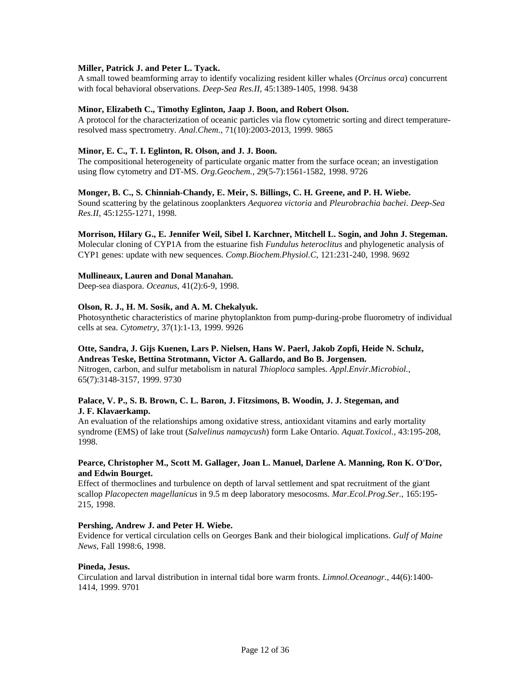# **Miller, Patrick J. and Peter L. Tyack.**

A small towed beamforming array to identify vocalizing resident killer whales (*Orcinus orca*) concurrent with focal behavioral observations. *Deep-Sea Res.II*, 45:1389-1405, 1998. 9438

## **Minor, Elizabeth C., Timothy Eglinton, Jaap J. Boon, and Robert Olson.**

A protocol for the characterization of oceanic particles via flow cytometric sorting and direct temperatureresolved mass spectrometry. *Anal.Chem.,* 71(10):2003-2013, 1999. 9865

## **Minor, E. C., T. I. Eglinton, R. Olson, and J. J. Boon.**

The compositional heterogeneity of particulate organic matter from the surface ocean; an investigation using flow cytometry and DT-MS. *Org.Geochem.,* 29(5-7):1561-1582, 1998. 9726

#### **Monger, B. C., S. Chinniah-Chandy, E. Meir, S. Billings, C. H. Greene, and P. H. Wiebe.**

Sound scattering by the gelatinous zooplankters *Aequorea victoria* and *Pleurobrachia bachei*. *Deep-Sea Res.II*, 45:1255-1271, 1998.

## **Morrison, Hilary G., E. Jennifer Weil, Sibel I. Karchner, Mitchell L. Sogin, and John J. Stegeman.**

Molecular cloning of CYP1A from the estuarine fish *Fundulus heteroclitus* and phylogenetic analysis of CYP1 genes: update with new sequences. *Comp.Biochem.Physiol.C*, 121:231-240, 1998. 9692

## **Mullineaux, Lauren and Donal Manahan.**

Deep-sea diaspora. *Oceanus*, 41(2):6-9, 1998.

## **Olson, R. J., H. M. Sosik, and A. M. Chekalyuk.**

Photosynthetic characteristics of marine phytoplankton from pump-during-probe fluorometry of individual cells at sea. *Cytometry*, 37(1):1-13, 1999. 9926

## **Otte, Sandra, J. Gijs Kuenen, Lars P. Nielsen, Hans W. Paerl, Jakob Zopfi, Heide N. Schulz, Andreas Teske, Bettina Strotmann, Victor A. Gallardo, and Bo B. Jorgensen.**

Nitrogen, carbon, and sulfur metabolism in natural *Thioploca* samples. *Appl.Envir.Microbiol.,* 65(7):3148-3157, 1999. 9730

# **Palace, V. P., S. B. Brown, C. L. Baron, J. Fitzsimons, B. Woodin, J. J. Stegeman, and J. F. Klavaerkamp.**

An evaluation of the relationships among oxidative stress, antioxidant vitamins and early mortality syndrome (EMS) of lake trout (*Salvelinus namaycush*) form Lake Ontario. *Aquat.Toxicol.,* 43:195-208, 1998.

## **Pearce, Christopher M., Scott M. Gallager, Joan L. Manuel, Darlene A. Manning, Ron K. O'Dor, and Edwin Bourget.**

Effect of thermoclines and turbulence on depth of larval settlement and spat recruitment of the giant scallop *Placopecten magellanicus* in 9.5 m deep laboratory mesocosms. *Mar.Ecol.Prog.Ser.,* 165:195- 215, 1998.

#### **Pershing, Andrew J. and Peter H. Wiebe.**

Evidence for vertical circulation cells on Georges Bank and their biological implications. *Gulf of Maine News*, Fall 1998:6, 1998.

#### **Pineda, Jesus.**

Circulation and larval distribution in internal tidal bore warm fronts. *Limnol.Oceanogr.,* 44(6):1400- 1414, 1999. 9701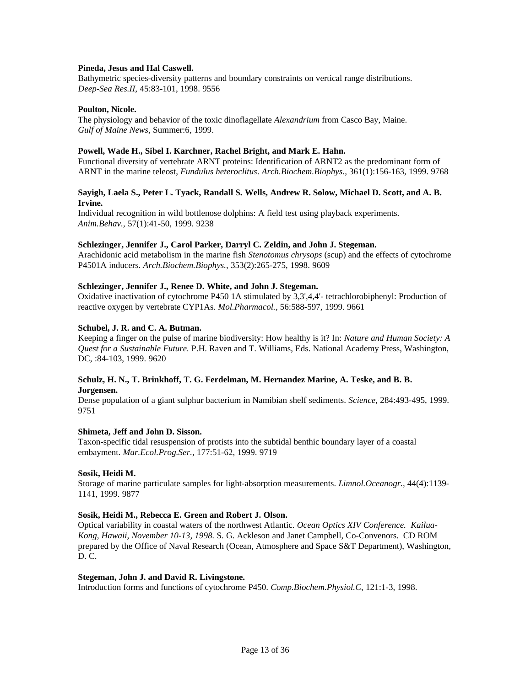## **Pineda, Jesus and Hal Caswell.**

Bathymetric species-diversity patterns and boundary constraints on vertical range distributions. *Deep-Sea Res.II*, 45:83-101, 1998. 9556

## **Poulton, Nicole.**

The physiology and behavior of the toxic dinoflagellate *Alexandrium* from Casco Bay, Maine. *Gulf of Maine News*, Summer:6, 1999.

## **Powell, Wade H., Sibel I. Karchner, Rachel Bright, and Mark E. Hahn.**

Functional diversity of vertebrate ARNT proteins: Identification of ARNT2 as the predominant form of ARNT in the marine teleost, *Fundulus heteroclitus*. *Arch.Biochem.Biophys.,* 361(1):156-163, 1999. 9768

# **Sayigh, Laela S., Peter L. Tyack, Randall S. Wells, Andrew R. Solow, Michael D. Scott, and A. B. Irvine.**

Individual recognition in wild bottlenose dolphins: A field test using playback experiments. *Anim.Behav.,* 57(1):41-50, 1999. 9238

## **Schlezinger, Jennifer J., Carol Parker, Darryl C. Zeldin, and John J. Stegeman.**

Arachidonic acid metabolism in the marine fish *Stenotomus chrysops* (scup) and the effects of cytochrome P4501A inducers. *Arch.Biochem.Biophys.,* 353(2):265-275, 1998. 9609

# **Schlezinger, Jennifer J., Renee D. White, and John J. Stegeman.**

Oxidative inactivation of cytochrome P450 1A stimulated by 3,3',4,4'- tetrachlorobiphenyl: Production of reactive oxygen by vertebrate CYP1As. *Mol.Pharmacol.,* 56:588-597, 1999. 9661

## **Schubel, J. R. and C. A. Butman.**

Keeping a finger on the pulse of marine biodiversity: How healthy is it? In: *Nature and Human Society: A Quest for a Sustainable Future.* P.H. Raven and T. Williams, Eds. National Academy Press, Washington, DC, :84-103, 1999. 9620

## **Schulz, H. N., T. Brinkhoff, T. G. Ferdelman, M. Hernandez Marine, A. Teske, and B. B. Jorgensen.**

Dense population of a giant sulphur bacterium in Namibian shelf sediments. *Science*, 284:493-495, 1999. 9751

#### **Shimeta, Jeff and John D. Sisson.**

Taxon-specific tidal resuspension of protists into the subtidal benthic boundary layer of a coastal embayment. *Mar.Ecol.Prog.Ser.,* 177:51-62, 1999. 9719

# **Sosik, Heidi M.**

Storage of marine particulate samples for light-absorption measurements. *Limnol.Oceanogr.,* 44(4):1139- 1141, 1999. 9877

#### **Sosik, Heidi M., Rebecca E. Green and Robert J. Olson.**

Optical variability in coastal waters of the northwest Atlantic*. Ocean Optics XIV Conference. Kailua-Kong, Hawaii, November 10-13, 1998.* S. G. Ackleson and Janet Campbell, Co-Convenors. CD ROM prepared by the Office of Naval Research (Ocean, Atmosphere and Space S&T Department), Washington, D. C.

#### **Stegeman, John J. and David R. Livingstone.**

Introduction forms and functions of cytochrome P450. *Comp.Biochem.Physiol.C*, 121:1-3, 1998.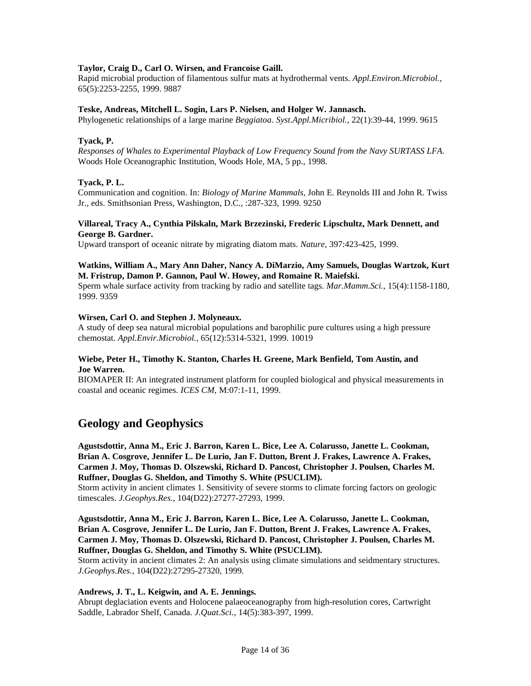# **Taylor, Craig D., Carl O. Wirsen, and Francoise Gaill.**

Rapid microbial production of filamentous sulfur mats at hydrothermal vents. *Appl.Environ.Microbiol.,* 65(5):2253-2255, 1999. 9887

## **Teske, Andreas, Mitchell L. Sogin, Lars P. Nielsen, and Holger W. Jannasch.**

Phylogenetic relationships of a large marine *Beggiatoa*. *Syst.Appl.Micribiol.,* 22(1):39-44, 1999. 9615

## **Tyack, P.**

*Responses of Whales to Experimental Playback of Low Frequency Sound from the Navy SURTASS LFA.* Woods Hole Oceanographic Institution, Woods Hole, MA, 5 pp., 1998.

## **Tyack, P. L.**

Communication and cognition. In: *Biology of Marine Mammals,* John E. Reynolds III and John R. Twiss Jr., eds. Smithsonian Press, Washington, D.C., :287-323, 1999. 9250

## **Villareal, Tracy A., Cynthia Pilskaln, Mark Brzezinski, Frederic Lipschultz, Mark Dennett, and George B. Gardner.**

Upward transport of oceanic nitrate by migrating diatom mats. *Nature*, 397:423-425, 1999.

# **Watkins, William A., Mary Ann Daher, Nancy A. DiMarzio, Amy Samuels, Douglas Wartzok, Kurt M. Fristrup, Damon P. Gannon, Paul W. Howey, and Romaine R. Maiefski.**

Sperm whale surface activity from tracking by radio and satellite tags. *Mar.Mamm.Sci.,* 15(4):1158-1180, 1999. 9359

#### **Wirsen, Carl O. and Stephen J. Molyneaux.**

A study of deep sea natural microbial populations and barophilic pure cultures using a high pressure chemostat. *Appl.Envir.Microbiol.,* 65(12):5314-5321, 1999. 10019

## **Wiebe, Peter H., Timothy K. Stanton, Charles H. Greene, Mark Benfield, Tom Austin, and Joe Warren.**

BIOMAPER II: An integrated instrument platform for coupled biological and physical measurements in coastal and oceanic regimes. *ICES CM*, M:07:1-11, 1999.

# **Geology and Geophysics**

**Agustsdottir, Anna M., Eric J. Barron, Karen L. Bice, Lee A. Colarusso, Janette L. Cookman, Brian A. Cosgrove, Jennifer L. De Lurio, Jan F. Dutton, Brent J. Frakes, Lawrence A. Frakes, Carmen J. Moy, Thomas D. Olszewski, Richard D. Pancost, Christopher J. Poulsen, Charles M. Ruffner, Douglas G. Sheldon, and Timothy S. White (PSUCLIM).**

Storm activity in ancient climates 1. Sensitivity of severe storms to climate forcing factors on geologic timescales. *J.Geophys.Res.,* 104(D22):27277-27293, 1999.

**Agustsdottir, Anna M., Eric J. Barron, Karen L. Bice, Lee A. Colarusso, Janette L. Cookman, Brian A. Cosgrove, Jennifer L. De Lurio, Jan F. Dutton, Brent J. Frakes, Lawrence A. Frakes, Carmen J. Moy, Thomas D. Olszewski, Richard D. Pancost, Christopher J. Poulsen, Charles M. Ruffner, Douglas G. Sheldon, and Timothy S. White (PSUCLIM).**

Storm activity in ancient climates 2: An analysis using climate simulations and seidmentary structures. *J.Geophys.Res.,* 104(D22):27295-27320, 1999.

#### **Andrews, J. T., L. Keigwin, and A. E. Jennings.**

Abrupt deglaciation events and Holocene palaeoceanography from high-resolution cores, Cartwright Saddle, Labrador Shelf, Canada. *J.Quat.Sci.,* 14(5):383-397, 1999.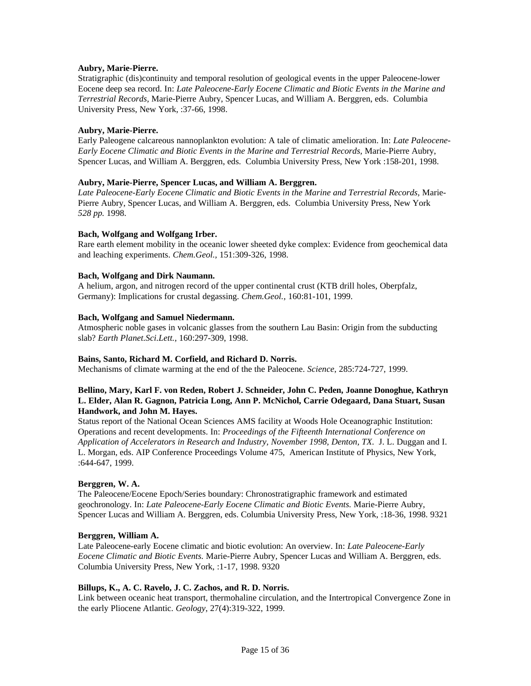# **Aubry, Marie-Pierre.**

Stratigraphic (dis)continuity and temporal resolution of geological events in the upper Paleocene-lower Eocene deep sea record. In: *Late Paleocene-Early Eocene Climatic and Biotic Events in the Marine and Terrestrial Records,* Marie-Pierre Aubry, Spencer Lucas, and William A. Berggren, eds. Columbia University Press, New York, :37-66, 1998.

# **Aubry, Marie-Pierre.**

Early Paleogene calcareous nannoplankton evolution: A tale of climatic amelioration. In: *Late Paleocene-Early Eocene Climatic and Biotic Events in the Marine and Terrestrial Records,* Marie-Pierre Aubry, Spencer Lucas, and William A. Berggren, eds. Columbia University Press, New York :158-201, 1998.

# **Aubry, Marie-Pierre, Spencer Lucas, and William A. Berggren.**

*Late Paleocene-Early Eocene Climatic and Biotic Events in the Marine and Terrestrial Records,* Marie-Pierre Aubry, Spencer Lucas, and William A. Berggren, eds. Columbia University Press, New York *528 pp.* 1998.

# **Bach, Wolfgang and Wolfgang Irber.**

Rare earth element mobility in the oceanic lower sheeted dyke complex: Evidence from geochemical data and leaching experiments. *Chem.Geol.,* 151:309-326, 1998.

# **Bach, Wolfgang and Dirk Naumann.**

A helium, argon, and nitrogen record of the upper continental crust (KTB drill holes, Oberpfalz, Germany): Implications for crustal degassing. *Chem.Geol.,* 160:81-101, 1999.

# **Bach, Wolfgang and Samuel Niedermann.**

Atmospheric noble gases in volcanic glasses from the southern Lau Basin: Origin from the subducting slab? *Earth Planet.Sci.Lett.,* 160:297-309, 1998.

# **Bains, Santo, Richard M. Corfield, and Richard D. Norris.**

Mechanisms of climate warming at the end of the the Paleocene. *Science*, 285:724-727, 1999.

# **Bellino, Mary, Karl F. von Reden, Robert J. Schneider, John C. Peden, Joanne Donoghue, Kathryn L. Elder, Alan R. Gagnon, Patricia Long, Ann P. McNichol, Carrie Odegaard, Dana Stuart, Susan Handwork, and John M. Hayes.**

Status report of the National Ocean Sciences AMS facility at Woods Hole Oceanographic Institution: Operations and recent developments. In: *Proceedings of the Fifteenth International Conference on Application of Accelerators in Research and Industry, November 1998, Denton, TX*. J. L. Duggan and I. L. Morgan, eds. AIP Conference Proceedings Volume 475, American Institute of Physics, New York, :644-647, 1999.

# **Berggren, W. A.**

The Paleocene/Eocene Epoch/Series boundary: Chronostratigraphic framework and estimated geochronology. In: *Late Paleocene-Early Eocene Climatic and Biotic Events.* Marie-Pierre Aubry, Spencer Lucas and William A. Berggren, eds. Columbia University Press, New York, :18-36, 1998. 9321

# **Berggren, William A.**

Late Paleocene-early Eocene climatic and biotic evolution: An overview. In: *Late Paleocene-Early Eocene Climatic and Biotic Events.* Marie-Pierre Aubry, Spencer Lucas and William A. Berggren, eds. Columbia University Press, New York, :1-17, 1998. 9320

# **Billups, K., A. C. Ravelo, J. C. Zachos, and R. D. Norris.**

Link between oceanic heat transport, thermohaline circulation, and the Intertropical Convergence Zone in the early Pliocene Atlantic. *Geology*, 27(4):319-322, 1999.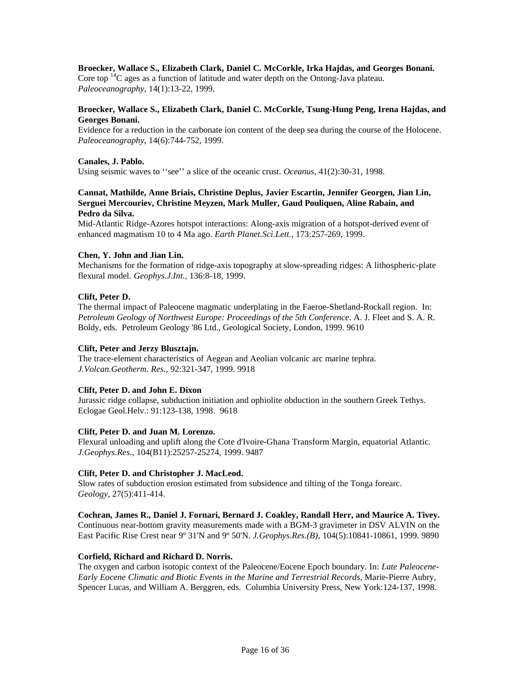# **Broecker, Wallace S., Elizabeth Clark, Daniel C. McCorkle, Irka Hajdas, and Georges Bonani.**

Core top  $^{14}C$  ages as a function of latitude and water depth on the Ontong-Java plateau. *Paleoceanography*, 14(1):13-22, 1999.

# **Broecker, Wallace S., Elizabeth Clark, Daniel C. McCorkle, Tsung-Hung Peng, Irena Hajdas, and Georges Bonani.**

Evidence for a reduction in the carbonate ion content of the deep sea during the course of the Holocene. *Paleoceanography*, 14(6):744-752, 1999.

## **Canales, J. Pablo.**

Using seismic waves to ''see'' a slice of the oceanic crust. *Oceanus*, 41(2):30-31, 1998.

# **Cannat, Mathilde, Anne Briais, Christine Deplus, Javier Escartin, Jennifer Georgen, Jian Lin, Serguei Mercouriev, Christine Meyzen, Mark Muller, Gaud Pouliquen, Aline Rabain, and Pedro da Silva.**

Mid-Atlantic Ridge-Azores hotspot interactions: Along-axis migration of a hotspot-derived event of enhanced magmatism 10 to 4 Ma ago. *Earth Planet.Sci.Lett.,* 173:257-269, 1999.

## **Chen, Y. John and Jian Lin.**

Mechanisms for the formation of ridge-axis topography at slow-spreading ridges: A lithospheric-plate flexural model. *Geophys.J.Int.,* 136:8-18, 1999.

## **Clift, Peter D.**

The thermal impact of Paleocene magmatic underplating in the Faeroe-Shetland-Rockall region. In: *Petroleum Geology of Northwest Europe: Proceedings of the 5th Conference*. A. J. Fleet and S. A. R. Boldy, eds. Petroleum Geology '86 Ltd., Geological Society, London, 1999. 9610

#### **Clift, Peter and Jerzy Blusztajn.**

The trace-element characteristics of Aegean and Aeolian volcanic arc marine tephra. *J.Volcan.Geotherm. Res.,* 92:321-347, 1999. 9918

# **Clift, Peter D. and John E. Dixon**

Jurassic ridge collapse, subduction initiation and ophiolite obduction in the southern Greek Tethys. Eclogae Geol.Helv.: 91:123-138, 1998. 9618

# **Clift, Peter D. and Juan M. Lorenzo.**

Flexural unloading and uplift along the Cote d'Ivoire-Ghana Transform Margin, equatorial Atlantic. *J.Geophys.Res.*, 104(B11):25257-25274, 1999. 9487

# **Clift, Peter D. and Christopher J. MacLeod.**

Slow rates of subduction erosion estimated from subsidence and tilting of the Tonga forearc. *Geology,* 27(5):411-414.

**Cochran, James R., Daniel J. Fornari, Bernard J. Coakley, Randall Herr, and Maurice A. Tivey.** Continuous near-bottom gravity measurements made with a BGM-3 gravimeter in DSV ALVIN on the East Pacific Rise Crest near 9º 31'N and 9º 50'N. *J.Geophys.Res.(B)*, 104(5):10841-10861, 1999. 9890

# **Corfield, Richard and Richard D. Norris.**

The oxygen and carbon isotopic context of the Paleocene/Eocene Epoch boundary. In: *Late Paleocene-Early Eocene Climatic and Biotic Events in the Marine and Terrestrial Records*, Marie-Pierre Aubry, Spencer Lucas, and William A. Berggren, eds. Columbia University Press, New York:124-137, 1998.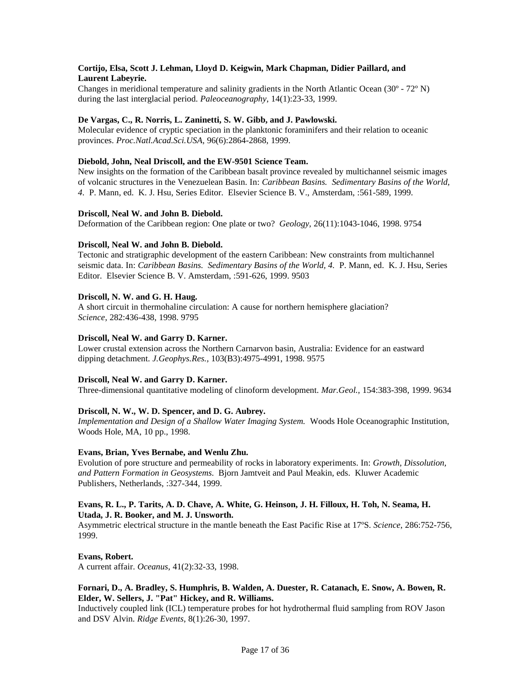# **Cortijo, Elsa, Scott J. Lehman, Lloyd D. Keigwin, Mark Chapman, Didier Paillard, and Laurent Labeyrie.**

Changes in meridional temperature and salinity gradients in the North Atlantic Ocean (30º - 72º N) during the last interglacial period. *Paleoceanography*, 14(1):23-33, 1999.

# **De Vargas, C., R. Norris, L. Zaninetti, S. W. Gibb, and J. Pawlowski.**

Molecular evidence of cryptic speciation in the planktonic foraminifers and their relation to oceanic provinces. *Proc.Natl.Acad.Sci.USA*, 96(6):2864-2868, 1999.

# **Diebold, John, Neal Driscoll, and the EW-9501 Science Team.**

New insights on the formation of the Caribbean basalt province revealed by multichannel seismic images of volcanic structures in the Venezuelean Basin. In: *Caribbean Basins. Sedimentary Basins of the World, 4*. P. Mann, ed. K. J. Hsu, Series Editor. Elsevier Science B. V., Amsterdam, :561-589, 1999.

## **Driscoll, Neal W. and John B. Diebold.**

Deformation of the Caribbean region: One plate or two? *Geology*, 26(11):1043-1046, 1998. 9754

## **Driscoll, Neal W. and John B. Diebold.**

Tectonic and stratigraphic development of the eastern Caribbean: New constraints from multichannel seismic data. In: *Caribbean Basins. Sedimentary Basins of the World, 4.* P. Mann, ed. K. J. Hsu, Series Editor. Elsevier Science B. V. Amsterdam, :591-626, 1999. 9503

## **Driscoll, N. W. and G. H. Haug.**

A short circuit in thermohaline circulation: A cause for northern hemisphere glaciation? *Science*, 282:436-438, 1998. 9795

## **Driscoll, Neal W. and Garry D. Karner.**

Lower crustal extension across the Northern Carnarvon basin, Australia: Evidence for an eastward dipping detachment. *J.Geophys.Res.,* 103(B3):4975-4991, 1998. 9575

# **Driscoll, Neal W. and Garry D. Karner.**

Three-dimensional quantitative modeling of clinoform development. *Mar.Geol.,* 154:383-398, 1999. 9634

# **Driscoll, N. W., W. D. Spencer, and D. G. Aubrey.**

*Implementation and Design of a Shallow Water Imaging System.* Woods Hole Oceanographic Institution, Woods Hole, MA, 10 pp., 1998.

#### **Evans, Brian, Yves Bernabe, and Wenlu Zhu.**

Evolution of pore structure and permeability of rocks in laboratory experiments. In: *Growth, Dissolution, and Pattern Formation in Geosystems*. Bjorn Jamtveit and Paul Meakin, eds. Kluwer Academic Publishers, Netherlands, :327-344, 1999.

## **Evans, R. L., P. Tarits, A. D. Chave, A. White, G. Heinson, J. H. Filloux, H. Toh, N. Seama, H. Utada, J. R. Booker, and M. J. Unsworth.**

Asymmetric electrical structure in the mantle beneath the East Pacific Rise at 17ºS. *Science*, 286:752-756, 1999.

**Evans, Robert.**

A current affair. *Oceanus*, 41(2):32-33, 1998.

# **Fornari, D., A. Bradley, S. Humphris, B. Walden, A. Duester, R. Catanach, E. Snow, A. Bowen, R. Elder, W. Sellers, J. "Pat" Hickey, and R. Williams.**

Inductively coupled link (ICL) temperature probes for hot hydrothermal fluid sampling from ROV Jason and DSV Alvin. *Ridge Events*, 8(1):26-30, 1997.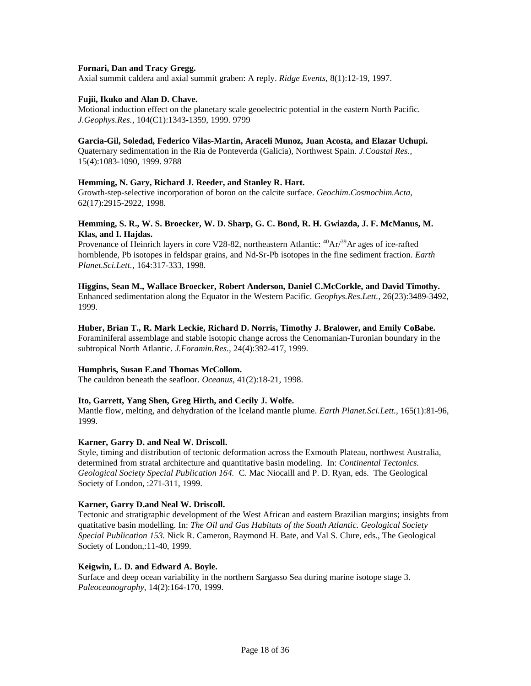## **Fornari, Dan and Tracy Gregg.**

Axial summit caldera and axial summit graben: A reply. *Ridge Events*, 8(1):12-19, 1997.

# **Fujii, Ikuko and Alan D. Chave.**

Motional induction effect on the planetary scale geoelectric potential in the eastern North Pacific. *J.Geophys.Res.,* 104(C1):1343-1359, 1999. 9799

#### **Garcia-Gil, Soledad, Federico Vilas-Martin, Araceli Munoz, Juan Acosta, and Elazar Uchupi.**

Quaternary sedimentation in the Ria de Ponteverda (Galicia), Northwest Spain. *J.Coastal Res.,* 15(4):1083-1090, 1999. 9788

## **Hemming, N. Gary, Richard J. Reeder, and Stanley R. Hart.**

Growth-step-selective incorporation of boron on the calcite surface. *Geochim.Cosmochim.Acta*, 62(17):2915-2922, 1998.

# **Hemming, S. R., W. S. Broecker, W. D. Sharp, G. C. Bond, R. H. Gwiazda, J. F. McManus, M. Klas, and I. Hajdas.**

Provenance of Heinrich layers in core V28-82, northeastern Atlantic:  ${}^{40}Ar/{}^{39}Ar$  ages of ice-rafted hornblende, Pb isotopes in feldspar grains, and Nd-Sr-Pb isotopes in the fine sediment fraction. *Earth Planet.Sci.Lett.,* 164:317-333, 1998.

## **Higgins, Sean M., Wallace Broecker, Robert Anderson, Daniel C.McCorkle, and David Timothy.**

Enhanced sedimentation along the Equator in the Western Pacific. *Geophys.Res.Lett.,* 26(23):3489-3492, 1999.

# **Huber, Brian T., R. Mark Leckie, Richard D. Norris, Timothy J. Bralower, and Emily CoBabe.**

Foraminiferal assemblage and stable isotopic change across the Cenomanian-Turonian boundary in the subtropical North Atlantic. *J.Foramin.Res.,* 24(4):392-417, 1999.

# **Humphris, Susan E.and Thomas McCollom.**

The cauldron beneath the seafloor. *Oceanus*, 41(2):18-21, 1998.

# **Ito, Garrett, Yang Shen, Greg Hirth, and Cecily J. Wolfe.**

Mantle flow, melting, and dehydration of the Iceland mantle plume. *Earth Planet.Sci.Lett.,* 165(1):81-96, 1999.

## **Karner, Garry D. and Neal W. Driscoll.**

Style, timing and distribution of tectonic deformation across the Exmouth Plateau, northwest Australia, determined from stratal architecture and quantitative basin modeling. In: *Continental Tectonics. Geological Society Special Publication 164.* C. Mac Niocaill and P. D. Ryan, eds. The Geological Society of London, :271-311, 1999.

#### **Karner, Garry D.and Neal W. Driscoll.**

Tectonic and stratigraphic development of the West African and eastern Brazilian margins; insights from quatitative basin modelling. In: *The Oil and Gas Habitats of the South Atlantic. Geological Society Special Publication 153.* Nick R. Cameron, Raymond H. Bate, and Val S. Clure, eds., The Geological Society of London,:11-40, 1999.

#### **Keigwin, L. D. and Edward A. Boyle.**

Surface and deep ocean variability in the northern Sargasso Sea during marine isotope stage 3. *Paleoceanography*, 14(2):164-170, 1999.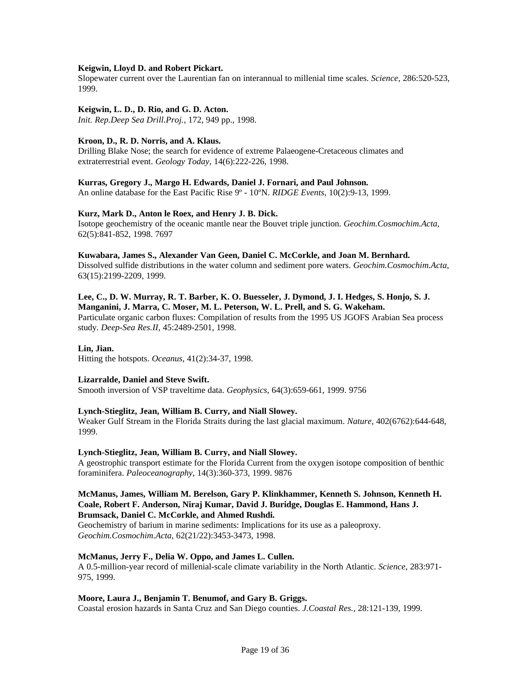## **Keigwin, Lloyd D. and Robert Pickart.**

Slopewater current over the Laurentian fan on interannual to millenial time scales. *Science*, 286:520-523, 1999.

## **Keigwin, L. D., D. Rio, and G. D. Acton.**

*Init. Rep.Deep Sea Drill.Proj.,* 172, 949 pp., 1998.

## **Kroon, D., R. D. Norris, and A. Klaus.**

Drilling Blake Nose; the search for evidence of extreme Palaeogene-Cretaceous climates and extraterrestrial event. *Geology Today*, 14(6):222-226, 1998.

#### **Kurras, Gregory J., Margo H. Edwards, Daniel J. Fornari, and Paul Johnson.**

An online database for the East Pacific Rise 9º - 10ºN. *RIDGE Events*, 10(2):9-13, 1999.

## **Kurz, Mark D., Anton le Roex, and Henry J. B. Dick.**

Isotope geochemistry of the oceanic mantle near the Bouvet triple junction. *Geochim.Cosmochim.Acta*, 62(5):841-852, 1998. 7697

#### **Kuwabara, James S., Alexander Van Geen, Daniel C. McCorkle, and Joan M. Bernhard.**

Dissolved sulfide distributions in the water column and sediment pore waters. *Geochim.Cosmochim.Acta*, 63(15):2199-2209, 1999.

# **Lee, C., D. W. Murray, R. T. Barber, K. O. Buesseler, J. Dymond, J. I. Hedges, S. Honjo, S. J.**

**Manganini, J. Marra, C. Moser, M. L. Peterson, W. L. Prell, and S. G. Wakeham.** Particulate organic carbon fluxes: Compilation of results from the 1995 US JGOFS Arabian Sea process study. *Deep-Sea Res.II*, 45:2489-2501, 1998.

# **Lin, Jian.**

Hitting the hotspots. *Oceanus*, 41(2):34-37, 1998.

# **Lizarralde, Daniel and Steve Swift.**

Smooth inversion of VSP traveltime data. *Geophysics*, 64(3):659-661, 1999. 9756

# **Lynch-Stieglitz, Jean, William B. Curry, and Niall Slowey.**

Weaker Gulf Stream in the Florida Straits during the last glacial maximum. *Nature*, 402(6762):644-648, 1999.

# **Lynch-Stieglitz, Jean, William B. Curry, and Niall Slowey.**

A geostrophic transport estimate for the Florida Current from the oxygen isotope composition of benthic foraminifera. *Paleoceanography*, 14(3):360-373, 1999. 9876

# **McManus, James, William M. Berelson, Gary P. Klinkhammer, Kenneth S. Johnson, Kenneth H. Coale, Robert F. Anderson, Niraj Kumar, David J. Buridge, Douglas E. Hammond, Hans J. Brumsack, Daniel C. McCorkle, and Ahmed Rushdi.**

Geochemistry of barium in marine sediments: Implications for its use as a paleoproxy. *Geochim.Cosmochim.Acta*, 62(21/22):3453-3473, 1998.

#### **McManus, Jerry F., Delia W. Oppo, and James L. Cullen.**

A 0.5-million-year record of millenial-scale climate variability in the North Atlantic. *Science*, 283:971- 975, 1999.

# **Moore, Laura J., Benjamin T. Benumof, and Gary B. Griggs.**

Coastal erosion hazards in Santa Cruz and San Diego counties. *J.Coastal Res.,* 28:121-139, 1999.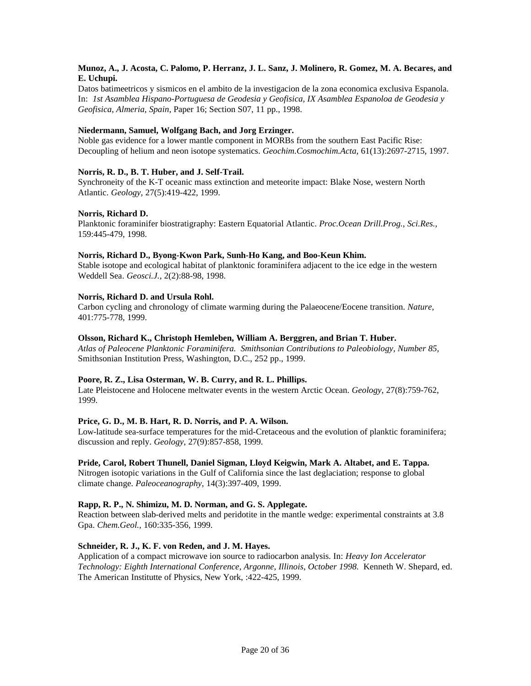# **Munoz, A., J. Acosta, C. Palomo, P. Herranz, J. L. Sanz, J. Molinero, R. Gomez, M. A. Becares, and E. Uchupi.**

Datos batimeetricos y sismicos en el ambito de la investigacion de la zona economica exclusiva Espanola. In: *1st Asamblea Hispano-Portuguesa de Geodesia y Geofisica, IX Asamblea Espanoloa de Geodesia y Geofisica, Almeria, Spain*, Paper 16; Section S07, 11 pp., 1998.

# **Niedermann, Samuel, Wolfgang Bach, and Jorg Erzinger.**

Noble gas evidence for a lower mantle component in MORBs from the southern East Pacific Rise: Decoupling of helium and neon isotope systematics. *Geochim.Cosmochim.Acta*, 61(13):2697-2715, 1997.

# **Norris, R. D., B. T. Huber, and J. Self-Trail.**

Synchroneity of the K-T oceanic mass extinction and meteorite impact: Blake Nose, western North Atlantic. *Geology*, 27(5):419-422, 1999.

## **Norris, Richard D.**

Planktonic foraminifer biostratigraphy: Eastern Equatorial Atlantic. *Proc.Ocean Drill.Prog., Sci.Res.,* 159:445-479, 1998.

## **Norris, Richard D., Byong-Kwon Park, Sunh-Ho Kang, and Boo-Keun Khim.**

Stable isotope and ecological habitat of planktonic foraminifera adjacent to the ice edge in the western Weddell Sea. *Geosci.J.,* 2(2):88-98, 1998.

## **Norris, Richard D. and Ursula Rohl.**

Carbon cycling and chronology of climate warming during the Palaeocene/Eocene transition. *Nature*, 401:775-778, 1999.

# **Olsson, Richard K., Christoph Hemleben, William A. Berggren, and Brian T. Huber.**

*Atlas of Paleocene Planktonic Foraminifera. Smithsonian Contributions to Paleobiology, Number 85,*  Smithsonian Institution Press, Washington, D.C., 252 pp., 1999.

#### **Poore, R. Z., Lisa Osterman, W. B. Curry, and R. L. Phillips.**

Late Pleistocene and Holocene meltwater events in the western Arctic Ocean. *Geology*, 27(8):759-762, 1999.

# **Price, G. D., M. B. Hart, R. D. Norris, and P. A. Wilson.**

Low-latitude sea-surface temperatures for the mid-Cretaceous and the evolution of planktic foraminifera; discussion and reply. *Geology*, 27(9):857-858, 1999.

# **Pride, Carol, Robert Thunell, Daniel Sigman, Lloyd Keigwin, Mark A. Altabet, and E. Tappa.**

Nitrogen isotopic variations in the Gulf of California since the last deglaciation; response to global climate change. *Paleoceanography*, 14(3):397-409, 1999.

# **Rapp, R. P., N. Shimizu, M. D. Norman, and G. S. Applegate.**

Reaction between slab-derived melts and peridotite in the mantle wedge: experimental constraints at 3.8 Gpa. *Chem.Geol.,* 160:335-356, 1999.

# **Schneider, R. J., K. F. von Reden, and J. M. Hayes.**

Application of a compact microwave ion source to radiocarbon analysis. In: *Heavy Ion Accelerator Technology: Eighth International Conference, Argonne, Illinois, October 1998.* Kenneth W. Shepard, ed. The American Institutte of Physics, New York, :422-425, 1999.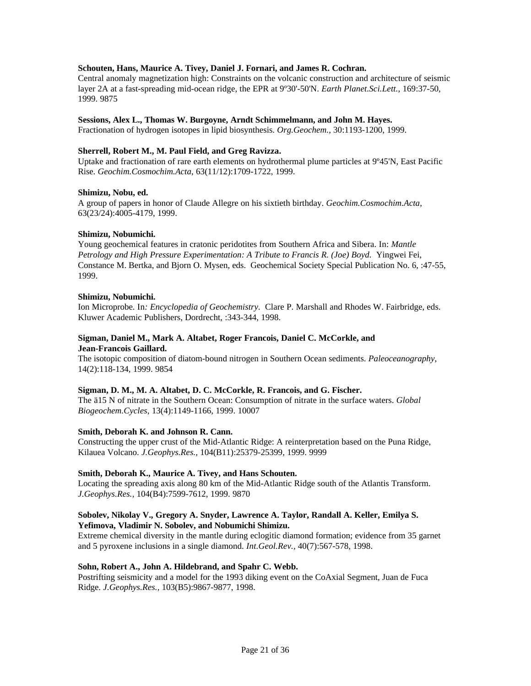# **Schouten, Hans, Maurice A. Tivey, Daniel J. Fornari, and James R. Cochran.**

Central anomaly magnetization high: Constraints on the volcanic construction and architecture of seismic layer 2A at a fast-spreading mid-ocean ridge, the EPR at 9º30'-50'N. *Earth Planet.Sci.Lett.,* 169:37-50, 1999. 9875

#### **Sessions, Alex L., Thomas W. Burgoyne, Arndt Schimmelmann, and John M. Hayes.**

Fractionation of hydrogen isotopes in lipid biosynthesis. *Org.Geochem.,* 30:1193-1200, 1999.

#### **Sherrell, Robert M., M. Paul Field, and Greg Ravizza.**

Uptake and fractionation of rare earth elements on hydrothermal plume particles at 9º45'N, East Pacific Rise. *Geochim.Cosmochim.Acta*, 63(11/12):1709-1722, 1999.

## **Shimizu, Nobu, ed.**

A group of papers in honor of Claude Allegre on his sixtieth birthday. *Geochim.Cosmochim.Acta*, 63(23/24):4005-4179, 1999.

#### **Shimizu, Nobumichi.**

Young geochemical features in cratonic peridotites from Southern Africa and Sibera. In: *Mantle Petrology and High Pressure Experimentation: A Tribute to Francis R. (Joe) Boyd.* Yingwei Fei, Constance M. Bertka, and Bjorn O. Mysen, eds. Geochemical Society Special Publication No. 6, :47-55, 1999.

#### **Shimizu, Nobumichi.**

Ion Microprobe. In*: Encyclopedia of Geochemistry.* Clare P. Marshall and Rhodes W. Fairbridge, eds. Kluwer Academic Publishers, Dordrecht, :343-344, 1998.

#### **Sigman, Daniel M., Mark A. Altabet, Roger Francois, Daniel C. McCorkle, and Jean-Francois Gaillard.**

The isotopic composition of diatom-bound nitrogen in Southern Ocean sediments. *Paleoceanography*, 14(2):118-134, 1999. 9854

#### **Sigman, D. M., M. A. Altabet, D. C. McCorkle, R. Francois, and G. Fischer.**

The ä15 N of nitrate in the Southern Ocean: Consumption of nitrate in the surface waters. *Global Biogeochem.Cycles*, 13(4):1149-1166, 1999. 10007

#### **Smith, Deborah K. and Johnson R. Cann.**

Constructing the upper crust of the Mid-Atlantic Ridge: A reinterpretation based on the Puna Ridge, Kilauea Volcano. *J.Geophys.Res.,* 104(B11):25379-25399, 1999. 9999

#### **Smith, Deborah K., Maurice A. Tivey, and Hans Schouten.**

Locating the spreading axis along 80 km of the Mid-Atlantic Ridge south of the Atlantis Transform. *J.Geophys.Res.,* 104(B4):7599-7612, 1999. 9870

## **Sobolev, Nikolay V., Gregory A. Snyder, Lawrence A. Taylor, Randall A. Keller, Emilya S. Yefimova, Vladimir N. Sobolev, and Nobumichi Shimizu.**

Extreme chemical diversity in the mantle during eclogitic diamond formation; evidence from 35 garnet and 5 pyroxene inclusions in a single diamond. *Int.Geol.Rev.,* 40(7):567-578, 1998.

#### **Sohn, Robert A., John A. Hildebrand, and Spahr C. Webb.**

Postrifting seismicity and a model for the 1993 diking event on the CoAxial Segment, Juan de Fuca Ridge. *J.Geophys.Res.,* 103(B5):9867-9877, 1998.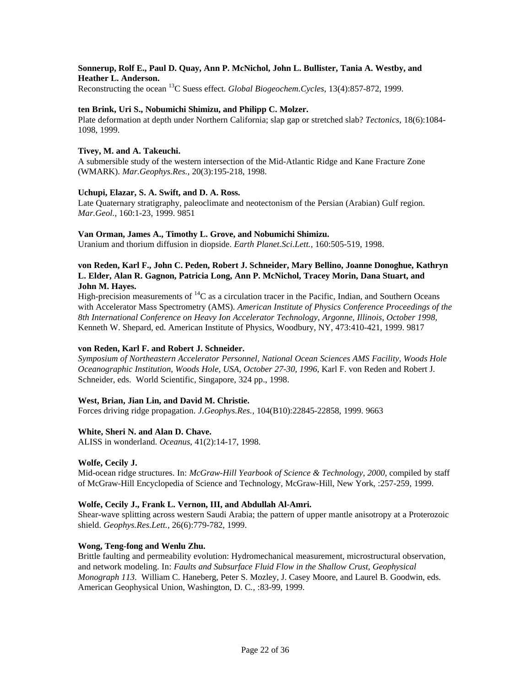# **Sonnerup, Rolf E., Paul D. Quay, Ann P. McNichol, John L. Bullister, Tania A. Westby, and Heather L. Anderson.**

Reconstructing the ocean <sup>13</sup>C Suess effect. *Global Biogeochem.Cycles*, 13(4):857-872, 1999.

# **ten Brink, Uri S., Nobumichi Shimizu, and Philipp C. Molzer.**

Plate deformation at depth under Northern California; slap gap or stretched slab? *Tectonics*, 18(6):1084- 1098, 1999.

## **Tivey, M. and A. Takeuchi.**

A submersible study of the western intersection of the Mid-Atlantic Ridge and Kane Fracture Zone (WMARK). *Mar.Geophys.Res.,* 20(3):195-218, 1998.

## **Uchupi, Elazar, S. A. Swift, and D. A. Ross.**

Late Quaternary stratigraphy, paleoclimate and neotectonism of the Persian (Arabian) Gulf region. *Mar.Geol.,* 160:1-23, 1999. 9851

## **Van Orman, James A., Timothy L. Grove, and Nobumichi Shimizu.**

Uranium and thorium diffusion in diopside. *Earth Planet.Sci.Lett.,* 160:505-519, 1998.

# **von Reden, Karl F., John C. Peden, Robert J. Schneider, Mary Bellino, Joanne Donoghue, Kathryn L. Elder, Alan R. Gagnon, Patricia Long, Ann P. McNichol, Tracey Morin, Dana Stuart, and John M. Hayes.**

High-precision measurements of  ${}^{14}C$  as a circulation tracer in the Pacific, Indian, and Southern Oceans with Accelerator Mass Spectrometry (AMS). *American Institute of Physics Conference Proceedings of the 8th International Conference on Heavy Ion Accelerator Technology*, *Argonne, Illinois, October 1998,*  Kenneth W. Shepard, ed. American Institute of Physics, Woodbury, NY, 473:410-421, 1999. 9817

# **von Reden, Karl F. and Robert J. Schneider.**

*Symposium of Northeastern Accelerator Personnel, National Ocean Sciences AMS Facility, Woods Hole Oceanographic Institution, Woods Hole, USA, October 27-30, 1996,* Karl F. von Reden and Robert J. Schneider, eds. World Scientific, Singapore, 324 pp., 1998.

# **West, Brian, Jian Lin, and David M. Christie.**

Forces driving ridge propagation. *J.Geophys.Res.,* 104(B10):22845-22858, 1999. 9663

# **White, Sheri N. and Alan D. Chave.**

ALISS in wonderland. *Oceanus*, 41(2):14-17, 1998.

#### **Wolfe, Cecily J.**

Mid-ocean ridge structures. In: *McGraw-Hill Yearbook of Science & Technology, 2000*, compiled by staff of McGraw-Hill Encyclopedia of Science and Technology, McGraw-Hill, New York, :257-259, 1999.

# **Wolfe, Cecily J., Frank L. Vernon, III, and Abdullah Al-Amri.**

Shear-wave splitting across western Saudi Arabia; the pattern of upper mantle anisotropy at a Proterozoic shield. *Geophys.Res.Lett.,* 26(6):779-782, 1999.

#### **Wong, Teng-fong and Wenlu Zhu.**

Brittle faulting and permeability evolution: Hydromechanical measurement, microstructural observation, and network modeling. In: *Faults and Subsurface Fluid Flow in the Shallow Crust, Geophysical Monograph 113*. William C. Haneberg, Peter S. Mozley, J. Casey Moore, and Laurel B. Goodwin, eds. American Geophysical Union, Washington, D. C*.,* :83-99, 1999.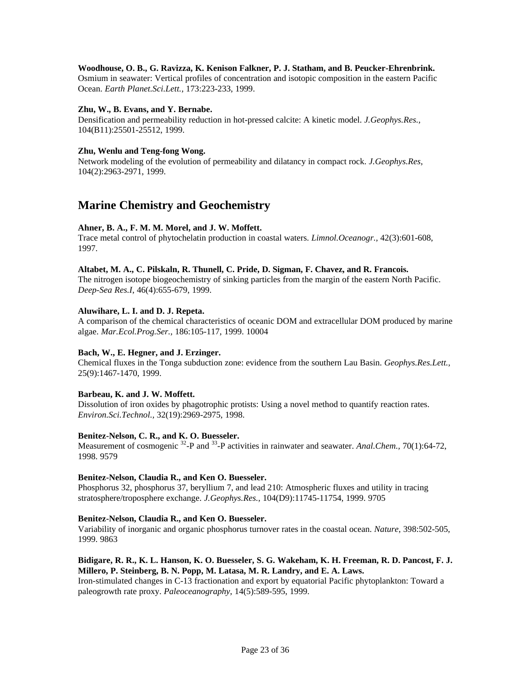# **Woodhouse, O. B., G. Ravizza, K. Kenison Falkner, P. J. Statham, and B. Peucker-Ehrenbrink.**

Osmium in seawater: Vertical profiles of concentration and isotopic composition in the eastern Pacific Ocean. *Earth Planet.Sci.Lett.,* 173:223-233, 1999.

## **Zhu, W., B. Evans, and Y. Bernabe.**

Densification and permeability reduction in hot-pressed calcite: A kinetic model. *J.Geophys.Res.,* 104(B11):25501-25512, 1999.

## **Zhu, Wenlu and Teng-fong Wong.**

Network modeling of the evolution of permeability and dilatancy in compact rock. *J.Geophys.Res*, 104(2):2963-2971, 1999.

# **Marine Chemistry and Geochemistry**

# **Ahner, B. A., F. M. M. Morel, and J. W. Moffett.**

Trace metal control of phytochelatin production in coastal waters. *Limnol.Oceanogr.,* 42(3):601-608, 1997.

#### **Altabet, M. A., C. Pilskaln, R. Thunell, C. Pride, D. Sigman, F. Chavez, and R. Francois.**

The nitrogen isotope biogeochemistry of sinking particles from the margin of the eastern North Pacific. *Deep-Sea Res.I*, 46(4):655-679, 1999.

## **Aluwihare, L. I. and D. J. Repeta.**

A comparison of the chemical characteristics of oceanic DOM and extracellular DOM produced by marine algae. *Mar.Ecol.Prog.Ser.,* 186:105-117, 1999. 10004

# **Bach, W., E. Hegner, and J. Erzinger.**

Chemical fluxes in the Tonga subduction zone: evidence from the southern Lau Basin. *Geophys.Res.Lett.,* 25(9):1467-1470, 1999.

#### **Barbeau, K. and J. W. Moffett.**

Dissolution of iron oxides by phagotrophic protists: Using a novel method to quantify reaction rates. *Environ.Sci.Technol.,* 32(19):2969-2975, 1998.

### **Benitez-Nelson, C. R., and K. O. Buesseler.**

Measurement of cosmogenic <sup>32</sup>-P and <sup>33</sup>-P activities in rainwater and seawater. *Anal. Chem.*, 70(1):64-72, 1998. 9579

#### **Benitez-Nelson, Claudia R., and Ken O. Buesseler.**

Phosphorus 32, phosphorus 37, beryllium 7, and lead 210: Atmospheric fluxes and utility in tracing stratosphere/troposphere exchange. *J.Geophys.Res.,* 104(D9):11745-11754, 1999. 9705

#### **Benitez-Nelson, Claudia R., and Ken O. Buesseler.**

Variability of inorganic and organic phosphorus turnover rates in the coastal ocean. *Nature*, 398:502-505, 1999. 9863

## **Bidigare, R. R., K. L. Hanson, K. O. Buesseler, S. G. Wakeham, K. H. Freeman, R. D. Pancost, F. J. Millero, P. Steinberg, B. N. Popp, M. Latasa, M. R. Landry, and E. A. Laws.**

Iron-stimulated changes in C-13 fractionation and export by equatorial Pacific phytoplankton: Toward a paleogrowth rate proxy. *Paleoceanography*, 14(5):589-595, 1999.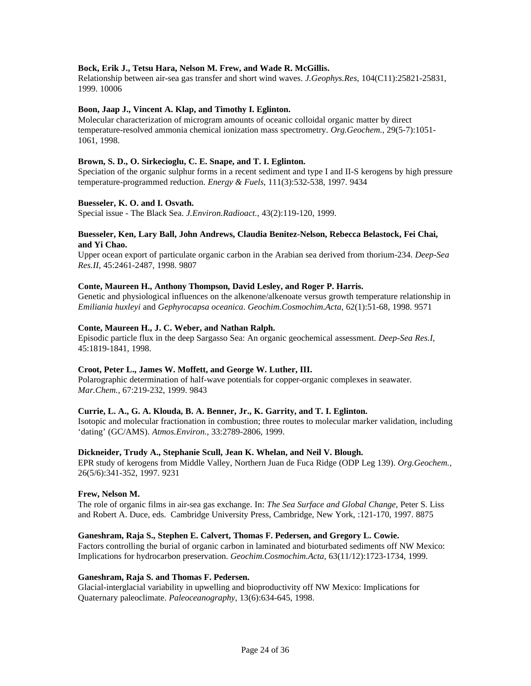# **Bock, Erik J., Tetsu Hara, Nelson M. Frew, and Wade R. McGillis.**

Relationship between air-sea gas transfer and short wind waves. *J.Geophys.Res*, 104(C11):25821-25831, 1999. 10006

## **Boon, Jaap J., Vincent A. Klap, and Timothy I. Eglinton.**

Molecular characterization of microgram amounts of oceanic colloidal organic matter by direct temperature-resolved ammonia chemical ionization mass spectrometry. *Org.Geochem.,* 29(5-7):1051- 1061, 1998.

## **Brown, S. D., O. Sirkecioglu, C. E. Snape, and T. I. Eglinton.**

Speciation of the organic sulphur forms in a recent sediment and type I and II-S kerogens by high pressure temperature-programmed reduction. *Energy & Fuels*, 111(3):532-538, 1997. 9434

## **Buesseler, K. O. and I. Osvath.**

Special issue - The Black Sea. *J.Environ.Radioact.,* 43(2):119-120, 1999.

# **Buesseler, Ken, Lary Ball, John Andrews, Claudia Benitez-Nelson, Rebecca Belastock, Fei Chai, and Yi Chao.**

Upper ocean export of particulate organic carbon in the Arabian sea derived from thorium-234. *Deep-Sea Res.II*, 45:2461-2487, 1998. 9807

# **Conte, Maureen H., Anthony Thompson, David Lesley, and Roger P. Harris.**

Genetic and physiological influences on the alkenone/alkenoate versus growth temperature relationship in *Emiliania huxleyi* and *Gephyrocapsa oceanica*. *Geochim.Cosmochim.Acta*, 62(1):51-68, 1998. 9571

#### **Conte, Maureen H., J. C. Weber, and Nathan Ralph.**

Episodic particle flux in the deep Sargasso Sea: An organic geochemical assessment. *Deep-Sea Res.I*, 45:1819-1841, 1998.

#### **Croot, Peter L., James W. Moffett, and George W. Luther, III.**

Polarographic determination of half-wave potentials for copper-organic complexes in seawater. *Mar.Chem.,* 67:219-232, 1999. 9843

#### **Currie, L. A., G. A. Klouda, B. A. Benner, Jr., K. Garrity, and T. I. Eglinton.**

Isotopic and molecular fractionation in combustion; three routes to molecular marker validation, including 'dating' (GC/AMS). *Atmos.Environ.,* 33:2789-2806, 1999.

## **Dickneider, Trudy A., Stephanie Scull, Jean K. Whelan, and Neil V. Blough.**

EPR study of kerogens from Middle Valley, Northern Juan de Fuca Ridge (ODP Leg 139). *Org.Geochem.,* 26(5/6):341-352, 1997. 9231

#### **Frew, Nelson M.**

The role of organic films in air-sea gas exchange. In: *The Sea Surface and Global Change,* Peter S. Liss and Robert A. Duce, eds. Cambridge University Press, Cambridge, New York, :121-170, 1997. 8875

#### **Ganeshram, Raja S., Stephen E. Calvert, Thomas F. Pedersen, and Gregory L. Cowie.**

Factors controlling the burial of organic carbon in laminated and bioturbated sediments off NW Mexico: Implications for hydrocarbon preservation. *Geochim.Cosmochim.Acta*, 63(11/12):1723-1734, 1999.

#### **Ganeshram, Raja S. and Thomas F. Pedersen.**

Glacial-interglacial variability in upwelling and bioproductivity off NW Mexico: Implications for Quaternary paleoclimate. *Paleoceanography*, 13(6):634-645, 1998.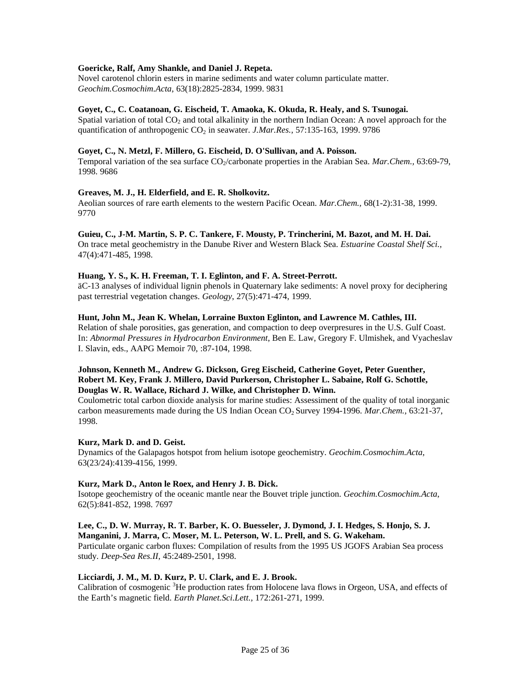## **Goericke, Ralf, Amy Shankle, and Daniel J. Repeta.**

Novel carotenol chlorin esters in marine sediments and water column particulate matter. *Geochim.Cosmochim.Acta*, 63(18):2825-2834, 1999. 9831

#### **Goyet, C., C. Coatanoan, G. Eischeid, T. Amaoka, K. Okuda, R. Healy, and S. Tsunogai.**

Spatial variation of total  $CO<sub>2</sub>$  and total alkalinity in the northern Indian Ocean: A novel approach for the quantification of anthropogenic CO2 in seawater. *J.Mar.Res.,* 57:135-163, 1999. 9786

## **Goyet, C., N. Metzl, F. Millero, G. Eischeid, D. O'Sullivan, and A. Poisson.**

Temporal variation of the sea surface CO<sub>2</sub>/carbonate properties in the Arabian Sea. *Mar.Chem.*, 63:69-79, 1998. 9686

## **Greaves, M. J., H. Elderfield, and E. R. Sholkovitz.**

Aeolian sources of rare earth elements to the western Pacific Ocean. *Mar.Chem.,* 68(1-2):31-38, 1999. 9770

#### **Guieu, C., J-M. Martin, S. P. C. Tankere, F. Mousty, P. Trincherini, M. Bazot, and M. H. Dai.**

On trace metal geochemistry in the Danube River and Western Black Sea. *Estuarine Coastal Shelf Sci.,* 47(4):471-485, 1998.

# **Huang, Y. S., K. H. Freeman, T. I. Eglinton, and F. A. Street-Perrott.**

äC-13 analyses of individual lignin phenols in Quaternary lake sediments: A novel proxy for deciphering past terrestrial vegetation changes. *Geology*, 27(5):471-474, 1999.

#### **Hunt, John M., Jean K. Whelan, Lorraine Buxton Eglinton, and Lawrence M. Cathles, III.**

Relation of shale porosities, gas generation, and compaction to deep overpresures in the U.S. Gulf Coast. In: *Abnormal Pressures in Hydrocarbon Environment*, Ben E. Law, Gregory F. Ulmishek, and Vyacheslav I. Slavin, eds., AAPG Memoir 70, :87-104, 1998.

# **Johnson, Kenneth M., Andrew G. Dickson, Greg Eischeid, Catherine Goyet, Peter Guenther, Robert M. Key, Frank J. Millero, David Purkerson, Christopher L. Sabaine, Rolf G. Schottle, Douglas W. R. Wallace, Richard J. Wilke, and Christopher D. Winn.**

Coulometric total carbon dioxide analysis for marine studies: Assessiment of the quality of total inorganic carbon measurements made during the US Indian Ocean CO2 Survey 1994-1996. *Mar.Chem.,* 63:21-37, 1998.

# **Kurz, Mark D. and D. Geist.**

Dynamics of the Galapagos hotspot from helium isotope geochemistry. *Geochim.Cosmochim.Acta*, 63(23/24):4139-4156, 1999.

#### **Kurz, Mark D., Anton le Roex, and Henry J. B. Dick.**

Isotope geochemistry of the oceanic mantle near the Bouvet triple junction. *Geochim.Cosmochim.Acta*, 62(5):841-852, 1998. 7697

# **Lee, C., D. W. Murray, R. T. Barber, K. O. Buesseler, J. Dymond, J. I. Hedges, S. Honjo, S. J. Manganini, J. Marra, C. Moser, M. L. Peterson, W. L. Prell, and S. G. Wakeham.**

Particulate organic carbon fluxes: Compilation of results from the 1995 US JGOFS Arabian Sea process study. *Deep-Sea Res.II*, 45:2489-2501, 1998.

## **Licciardi, J. M., M. D. Kurz, P. U. Clark, and E. J. Brook.**

Calibration of cosmogenic <sup>3</sup>He production rates from Holocene lava flows in Orgeon, USA, and effects of the Earth's magnetic field. *Earth Planet.Sci.Lett.,* 172:261-271, 1999.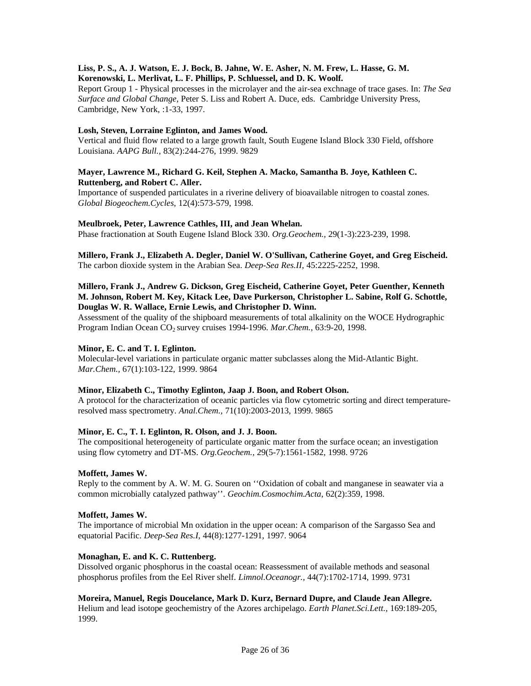# **Liss, P. S., A. J. Watson, E. J. Bock, B. Jahne, W. E. Asher, N. M. Frew, L. Hasse, G. M. Korenowski, L. Merlivat, L. F. Phillips, P. Schluessel, and D. K. Woolf.**

Report Group 1 - Physical processes in the microlayer and the air-sea exchnage of trace gases. In: *The Sea Surface and Global Change,* Peter S. Liss and Robert A. Duce, eds. Cambridge University Press, Cambridge, New York, :1-33, 1997.

# **Losh, Steven, Lorraine Eglinton, and James Wood.**

Vertical and fluid flow related to a large growth fault, South Eugene Island Block 330 Field, offshore Louisiana. *AAPG Bull.,* 83(2):244-276, 1999. 9829

# **Mayer, Lawrence M., Richard G. Keil, Stephen A. Macko, Samantha B. Joye, Kathleen C. Ruttenberg, and Robert C. Aller.**

Importance of suspended particulates in a riverine delivery of bioavailable nitrogen to coastal zones. *Global Biogeochem.Cycles*, 12(4):573-579, 1998.

# **Meulbroek, Peter, Lawrence Cathles, III, and Jean Whelan.**

Phase fractionation at South Eugene Island Block 330. *Org.Geochem.,* 29(1-3):223-239, 1998.

**Millero, Frank J., Elizabeth A. Degler, Daniel W. O'Sullivan, Catherine Goyet, and Greg Eischeid.** The carbon dioxide system in the Arabian Sea. *Deep-Sea Res.II*, 45:2225-2252, 1998.

# **Millero, Frank J., Andrew G. Dickson, Greg Eischeid, Catherine Goyet, Peter Guenther, Kenneth M. Johnson, Robert M. Key, Kitack Lee, Dave Purkerson, Christopher L. Sabine, Rolf G. Schottle, Douglas W. R. Wallace, Ernie Lewis, and Christopher D. Winn.**

Assessment of the quality of the shipboard measurements of total alkalinity on the WOCE Hydrographic Program Indian Ocean CO2 survey cruises 1994-1996. *Mar.Chem.,* 63:9-20, 1998.

# **Minor, E. C. and T. I. Eglinton.**

Molecular-level variations in particulate organic matter subclasses along the Mid-Atlantic Bight. *Mar.Chem.,* 67(1):103-122, 1999. 9864

# **Minor, Elizabeth C., Timothy Eglinton, Jaap J. Boon, and Robert Olson.**

A protocol for the characterization of oceanic particles via flow cytometric sorting and direct temperatureresolved mass spectrometry. *Anal.Chem.,* 71(10):2003-2013, 1999. 9865

# **Minor, E. C., T. I. Eglinton, R. Olson, and J. J. Boon.**

The compositional heterogeneity of particulate organic matter from the surface ocean; an investigation using flow cytometry and DT-MS. *Org.Geochem.,* 29(5-7):1561-1582, 1998. 9726

# **Moffett, James W.**

Reply to the comment by A. W. M. G. Souren on ''Oxidation of cobalt and manganese in seawater via a common microbially catalyzed pathway''. *Geochim.Cosmochim.Acta*, 62(2):359, 1998.

# **Moffett, James W.**

The importance of microbial Mn oxidation in the upper ocean: A comparison of the Sargasso Sea and equatorial Pacific. *Deep-Sea Res.I*, 44(8):1277-1291, 1997. 9064

# **Monaghan, E. and K. C. Ruttenberg.**

Dissolved organic phosphorus in the coastal ocean: Reassessment of available methods and seasonal phosphorus profiles from the Eel River shelf. *Limnol.Oceanogr.,* 44(7):1702-1714, 1999. 9731

# **Moreira, Manuel, Regis Doucelance, Mark D. Kurz, Bernard Dupre, and Claude Jean Allegre.**

Helium and lead isotope geochemistry of the Azores archipelago. *Earth Planet.Sci.Lett.,* 169:189-205, 1999.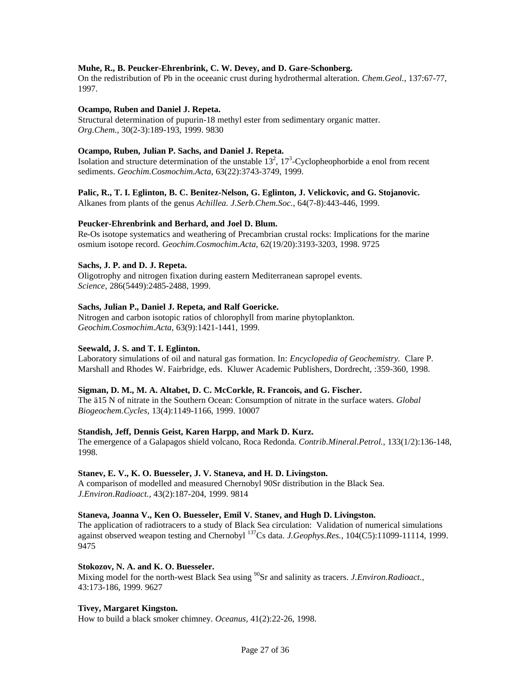# **Muhe, R., B. Peucker-Ehrenbrink, C. W. Devey, and D. Gare-Schonberg.**

On the redistribution of Pb in the oceeanic crust during hydrothermal alteration. *Chem.Geol.,* 137:67-77, 1997.

## **Ocampo, Ruben and Daniel J. Repeta.**

Structural determination of pupurin-18 methyl ester from sedimentary organic matter. *Org.Chem.,* 30(2-3):189-193, 1999. 9830

## **Ocampo, Ruben, Julian P. Sachs, and Daniel J. Repeta.**

Isolation and structure determination of the unstable  $13^2$ ,  $17^3$ -Cyclopheophorbide a enol from recent sediments. *Geochim.Cosmochim.Acta*, 63(22):3743-3749, 1999.

## **Palic, R., T. I. Eglinton, B. C. Benitez-Nelson, G. Eglinton, J. Velickovic, and G. Stojanovic.**

Alkanes from plants of the genus *Achillea. J.Serb.Chem.Soc.,* 64(7-8):443-446, 1999.

## **Peucker-Ehrenbrink and Berhard, and Joel D. Blum.**

Re-Os isotope systematics and weathering of Precambrian crustal rocks: Implications for the marine osmium isotope record. *Geochim.Cosmochim.Acta*, 62(19/20):3193-3203, 1998. 9725

## **Sachs, J. P. and D. J. Repeta.**

Oligotrophy and nitrogen fixation during eastern Mediterranean sapropel events. *Science*, 286(5449):2485-2488, 1999.

## **Sachs, Julian P., Daniel J. Repeta, and Ralf Goericke.**

Nitrogen and carbon isotopic ratios of chlorophyll from marine phytoplankton. *Geochim.Cosmochim.Acta*, 63(9):1421-1441, 1999.

# **Seewald, J. S. and T. I. Eglinton.**

Laboratory simulations of oil and natural gas formation. In: *Encyclopedia of Geochemistry.* Clare P. Marshall and Rhodes W. Fairbridge, eds. Kluwer Academic Publishers, Dordrecht, :359-360, 1998.

# **Sigman, D. M., M. A. Altabet, D. C. McCorkle, R. Francois, and G. Fischer.**

The ä15 N of nitrate in the Southern Ocean: Consumption of nitrate in the surface waters. *Global Biogeochem.Cycles*, 13(4):1149-1166, 1999. 10007

#### **Standish, Jeff, Dennis Geist, Karen Harpp, and Mark D. Kurz.**

The emergence of a Galapagos shield volcano, Roca Redonda. *Contrib.Mineral.Petrol.,* 133(1/2):136-148, 1998.

#### **Stanev, E. V., K. O. Buesseler, J. V. Staneva, and H. D. Livingston.**

A comparison of modelled and measured Chernobyl 90Sr distribution in the Black Sea. *J.Environ.Radioact.,* 43(2):187-204, 1999. 9814

## **Staneva, Joanna V., Ken O. Buesseler, Emil V. Stanev, and Hugh D. Livingston.**

The application of radiotracers to a study of Black Sea circulation: Validation of numerical simulations against observed weapon testing and Chernobyl <sup>137</sup>Cs data. *J.Geophys.Res.,* 104(C5):11099-11114, 1999. 9475

#### **Stokozov, N. A. and K. O. Buesseler.**

Mixing model for the north-west Black Sea using <sup>90</sup>Sr and salinity as tracers. *J.Environ.Radioact.*, 43:173-186, 1999. 9627

# **Tivey, Margaret Kingston.**

How to build a black smoker chimney. *Oceanus*, 41(2):22-26, 1998.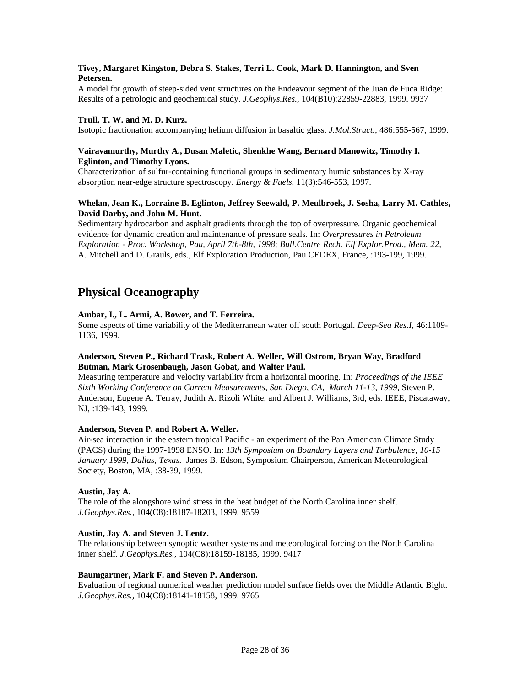# **Tivey, Margaret Kingston, Debra S. Stakes, Terri L. Cook, Mark D. Hannington, and Sven Petersen.**

A model for growth of steep-sided vent structures on the Endeavour segment of the Juan de Fuca Ridge: Results of a petrologic and geochemical study. *J.Geophys.Res.,* 104(B10):22859-22883, 1999. 9937

# **Trull, T. W. and M. D. Kurz.**

Isotopic fractionation accompanying helium diffusion in basaltic glass. *J.Mol.Struct.,* 486:555-567, 1999.

# **Vairavamurthy, Murthy A., Dusan Maletic, Shenkhe Wang, Bernard Manowitz, Timothy I. Eglinton, and Timothy Lyons.**

Characterization of sulfur-containing functional groups in sedimentary humic substances by X-ray absorption near-edge structure spectroscopy. *Energy & Fuels*, 11(3):546-553, 1997.

# **Whelan, Jean K., Lorraine B. Eglinton, Jeffrey Seewald, P. Meulbroek, J. Sosha, Larry M. Cathles, David Darby, and John M. Hunt.**

Sedimentary hydrocarbon and asphalt gradients through the top of overpressure. Organic geochemical evidence for dynamic creation and maintenance of pressure seals. In: *Overpressures in Petroleum Exploration - Proc. Workshop, Pau, April 7th-8th, 1998*; *Bull.Centre Rech. Elf Explor.Prod., Mem. 22*, A. Mitchell and D. Grauls, eds., Elf Exploration Production, Pau CEDEX, France, :193-199, 1999.

# **Physical Oceanography**

# **Ambar, I., L. Armi, A. Bower, and T. Ferreira.**

Some aspects of time variability of the Mediterranean water off south Portugal. *Deep-Sea Res.I*, 46:1109- 1136, 1999.

# **Anderson, Steven P., Richard Trask, Robert A. Weller, Will Ostrom, Bryan Way, Bradford Butman, Mark Grosenbaugh, Jason Gobat, and Walter Paul.**

Measuring temperature and velocity variability from a horizontal mooring. In: *Proceedings of the IEEE Sixth Working Conference on Current Measurements, San Diego, CA, March 11-13, 1999,* Steven P. Anderson, Eugene A. Terray, Judith A. Rizoli White, and Albert J. Williams, 3rd, eds. IEEE, Piscataway, NJ, :139-143, 1999.

# **Anderson, Steven P. and Robert A. Weller.**

Air-sea interaction in the eastern tropical Pacific - an experiment of the Pan American Climate Study (PACS) during the 1997-1998 ENSO. In: *13th Symposium on Boundary Layers and Turbulence, 10-15 January 1999, Dallas, Texas.* James B. Edson, Symposium Chairperson, American Meteorological Society, Boston, MA, :38-39, 1999.

# **Austin, Jay A.**

The role of the alongshore wind stress in the heat budget of the North Carolina inner shelf. *J.Geophys.Res.,* 104(C8):18187-18203, 1999. 9559

# **Austin, Jay A. and Steven J. Lentz.**

The relationship between synoptic weather systems and meteorological forcing on the North Carolina inner shelf. *J.Geophys.Res.,* 104(C8):18159-18185, 1999. 9417

#### **Baumgartner, Mark F. and Steven P. Anderson.**

Evaluation of regional numerical weather prediction model surface fields over the Middle Atlantic Bight. *J.Geophys.Res.,* 104(C8):18141-18158, 1999. 9765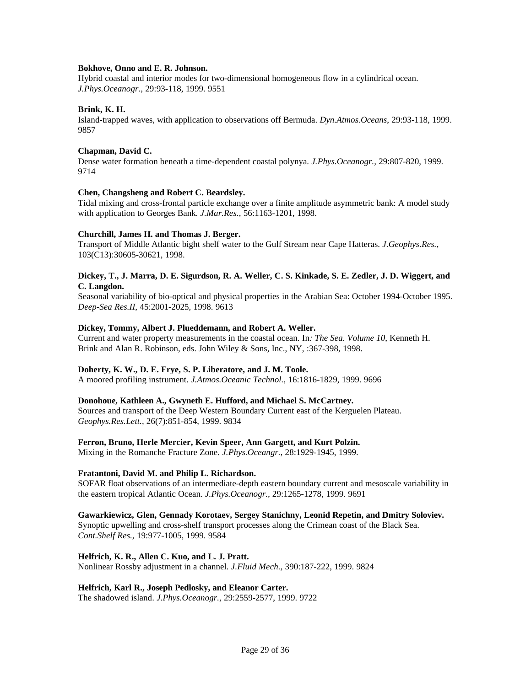## **Bokhove, Onno and E. R. Johnson.**

Hybrid coastal and interior modes for two-dimensional homogeneous flow in a cylindrical ocean. *J.Phys.Oceanogr.,* 29:93-118, 1999. 9551

# **Brink, K. H.**

Island-trapped waves, with application to observations off Bermuda. *Dyn.Atmos.Oceans*, 29:93-118, 1999. 9857

## **Chapman, David C.**

Dense water formation beneath a time-dependent coastal polynya. *J.Phys.Oceanogr.,* 29:807-820, 1999. 9714

## **Chen, Changsheng and Robert C. Beardsley.**

Tidal mixing and cross-frontal particle exchange over a finite amplitude asymmetric bank: A model study with application to Georges Bank. *J.Mar.Res.,* 56:1163-1201, 1998.

## **Churchill, James H. and Thomas J. Berger.**

Transport of Middle Atlantic bight shelf water to the Gulf Stream near Cape Hatteras. *J.Geophys.Res.,* 103(C13):30605-30621, 1998.

# **Dickey, T., J. Marra, D. E. Sigurdson, R. A. Weller, C. S. Kinkade, S. E. Zedler, J. D. Wiggert, and C. Langdon.**

Seasonal variability of bio-optical and physical properties in the Arabian Sea: October 1994-October 1995. *Deep-Sea Res.II*, 45:2001-2025, 1998. 9613

## **Dickey, Tommy, Albert J. Plueddemann, and Robert A. Weller.**

Current and water property measurements in the coastal ocean. In*: The Sea. Volume 10*, Kenneth H. Brink and Alan R. Robinson, eds. John Wiley & Sons, Inc., NY, :367-398, 1998.

# **Doherty, K. W., D. E. Frye, S. P. Liberatore, and J. M. Toole.**

A moored profiling instrument. *J.Atmos.Oceanic Technol.,* 16:1816-1829, 1999. 9696

# **Donohoue, Kathleen A., Gwyneth E. Hufford, and Michael S. McCartney.**

Sources and transport of the Deep Western Boundary Current east of the Kerguelen Plateau. *Geophys.Res.Lett.,* 26(7):851-854, 1999. 9834

#### **Ferron, Bruno, Herle Mercier, Kevin Speer, Ann Gargett, and Kurt Polzin.**

Mixing in the Romanche Fracture Zone. *J.Phys.Oceangr.,* 28:1929-1945, 1999.

#### **Fratantoni, David M. and Philip L. Richardson.**

SOFAR float observations of an intermediate-depth eastern boundary current and mesoscale variability in the eastern tropical Atlantic Ocean. *J.Phys.Oceanogr.,* 29:1265-1278, 1999. 9691

# **Gawarkiewicz, Glen, Gennady Korotaev, Sergey Stanichny, Leonid Repetin, and Dmitry Soloviev.**

Synoptic upwelling and cross-shelf transport processes along the Crimean coast of the Black Sea. *Cont.Shelf Res.,* 19:977-1005, 1999. 9584

## **Helfrich, K. R., Allen C. Kuo, and L. J. Pratt.**

Nonlinear Rossby adjustment in a channel. *J.Fluid Mech.,* 390:187-222, 1999. 9824

#### **Helfrich, Karl R., Joseph Pedlosky, and Eleanor Carter.**

The shadowed island. *J.Phys.Oceanogr.,* 29:2559-2577, 1999. 9722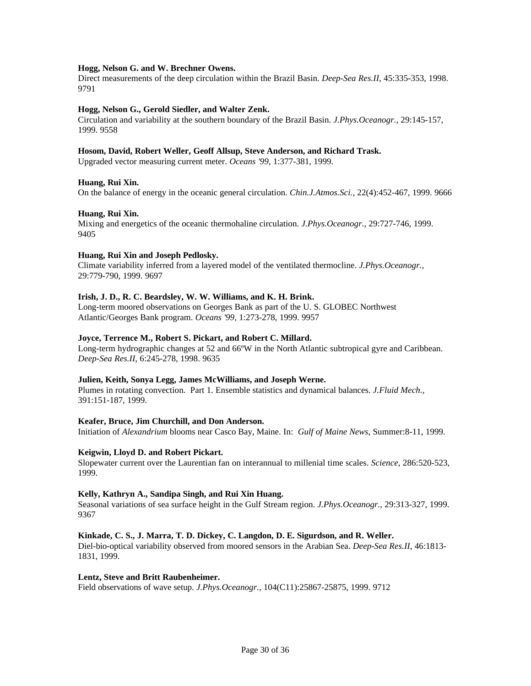## **Hogg, Nelson G. and W. Brechner Owens.**

Direct measurements of the deep circulation within the Brazil Basin. *Deep-Sea Res.II*, 45:335-353, 1998. 9791

## **Hogg, Nelson G., Gerold Siedler, and Walter Zenk.**

Circulation and variability at the southern boundary of the Brazil Basin. *J.Phys.Oceanogr.,* 29:145-157, 1999. 9558

#### **Hosom, David, Robert Weller, Geoff Allsup, Steve Anderson, and Richard Trask.**

Upgraded vector measuring current meter. *Oceans '99*, 1:377-381, 1999.

## **Huang, Rui Xin.**

On the balance of energy in the oceanic general circulation. *Chin.J.Atmos.Sci.,* 22(4):452-467, 1999. 9666

## **Huang, Rui Xin.**

Mixing and energetics of the oceanic thermohaline circulation. *J.Phys.Oceanogr.,* 29:727-746, 1999. 9405

## **Huang, Rui Xin and Joseph Pedlosky.**

Climate variability inferred from a layered model of the ventilated thermocline. *J.Phys.Oceanogr.,* 29:779-790, 1999. 9697

## **Irish, J. D., R. C. Beardsley, W. W. Williams, and K. H. Brink.**

Long-term moored observations on Georges Bank as part of the U. S. GLOBEC Northwest Atlantic/Georges Bank program. *Oceans '99*, 1:273-278, 1999. 9957

## **Joyce, Terrence M., Robert S. Pickart, and Robert C. Millard.**

Long-term hydrographic changes at 52 and 66ºW in the North Atlantic subtropical gyre and Caribbean. *Deep-Sea Res.II*, 6:245-278, 1998. 9635

#### **Julien, Keith, Sonya Legg, James McWilliams, and Joseph Werne.**

Plumes in rotating convection. Part 1. Ensemble statistics and dynamical balances. *J.Fluid Mech.,* 391:151-187, 1999.

#### **Keafer, Bruce, Jim Churchill, and Don Anderson.**

Initiation of *Alexandrium* blooms near Casco Bay, Maine. In: *Gulf of Maine News*, Summer:8-11, 1999.

#### **Keigwin, Lloyd D. and Robert Pickart.**

Slopewater current over the Laurentian fan on interannual to millenial time scales. *Science*, 286:520-523, 1999.

#### **Kelly, Kathryn A., Sandipa Singh, and Rui Xin Huang.**

Seasonal variations of sea surface height in the Gulf Stream region. *J.Phys.Oceanogr.,* 29:313-327, 1999. 9367

#### **Kinkade, C. S., J. Marra, T. D. Dickey, C. Langdon, D. E. Sigurdson, and R. Weller.**

Diel-bio-optical variability observed from moored sensors in the Arabian Sea. *Deep-Sea Res.II*, 46:1813- 1831, 1999.

#### **Lentz, Steve and Britt Raubenheimer.**

Field observations of wave setup. *J.Phys.Oceanogr.,* 104(C11):25867-25875, 1999. 9712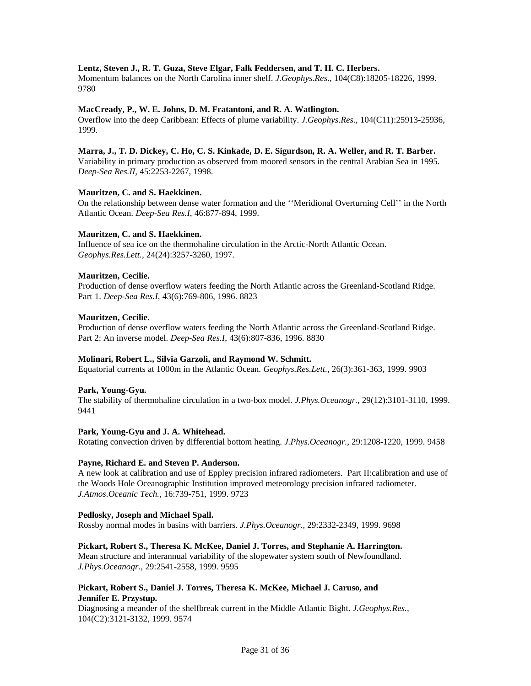# **Lentz, Steven J., R. T. Guza, Steve Elgar, Falk Feddersen, and T. H. C. Herbers.**

Momentum balances on the North Carolina inner shelf. *J.Geophys.Res.,* 104(C8):18205-18226, 1999. 9780

#### **MacCready, P., W. E. Johns, D. M. Fratantoni, and R. A. Watlington.**

Overflow into the deep Caribbean: Effects of plume variability. *J.Geophys.Res.,* 104(C11):25913-25936, 1999.

#### **Marra, J., T. D. Dickey, C. Ho, C. S. Kinkade, D. E. Sigurdson, R. A. Weller, and R. T. Barber.**

Variability in primary production as observed from moored sensors in the central Arabian Sea in 1995. *Deep-Sea Res.II*, 45:2253-2267, 1998.

#### **Mauritzen, C. and S. Haekkinen.**

On the relationship between dense water formation and the ''Meridional Overturning Cell'' in the North Atlantic Ocean. *Deep-Sea Res.I*, 46:877-894, 1999.

## **Mauritzen, C. and S. Haekkinen.**

Influence of sea ice on the thermohaline circulation in the Arctic-North Atlantic Ocean. *Geophys.Res.Lett.,* 24(24):3257-3260, 1997.

#### **Mauritzen, Cecilie.**

Production of dense overflow waters feeding the North Atlantic across the Greenland-Scotland Ridge. Part 1. *Deep-Sea Res.I*, 43(6):769-806, 1996. 8823

#### **Mauritzen, Cecilie.**

Production of dense overflow waters feeding the North Atlantic across the Greenland-Scotland Ridge. Part 2: An inverse model. *Deep-Sea Res.I*, 43(6):807-836, 1996. 8830

#### **Molinari, Robert L., Silvia Garzoli, and Raymond W. Schmitt.**

Equatorial currents at 1000m in the Atlantic Ocean. *Geophys.Res.Lett.,* 26(3):361-363, 1999. 9903

#### **Park, Young-Gyu.**

The stability of thermohaline circulation in a two-box model. *J.Phys.Oceanogr.,* 29(12):3101-3110, 1999. 9441

#### **Park, Young-Gyu and J. A. Whitehead.**

Rotating convection driven by differential bottom heating. *J.Phys.Oceanogr.,* 29:1208-1220, 1999. 9458

#### **Payne, Richard E. and Steven P. Anderson.**

A new look at calibration and use of Eppley precision infrared radiometers. Part II:calibration and use of the Woods Hole Oceanographic Institution improved meteorology precision infrared radiometer. *J.Atmos.Oceanic Tech.,* 16:739-751, 1999. 9723

#### **Pedlosky, Joseph and Michael Spall.**

Rossby normal modes in basins with barriers. *J.Phys.Oceanogr.,* 29:2332-2349, 1999. 9698

#### **Pickart, Robert S., Theresa K. McKee, Daniel J. Torres, and Stephanie A. Harrington.**

Mean structure and interannual variability of the slopewater system south of Newfoundland. *J.Phys.Oceanogr.,* 29:2541-2558, 1999. 9595

## **Pickart, Robert S., Daniel J. Torres, Theresa K. McKee, Michael J. Caruso, and Jennifer E. Przystup.**

Diagnosing a meander of the shelfbreak current in the Middle Atlantic Bight. *J.Geophys.Res.,* 104(C2):3121-3132, 1999. 9574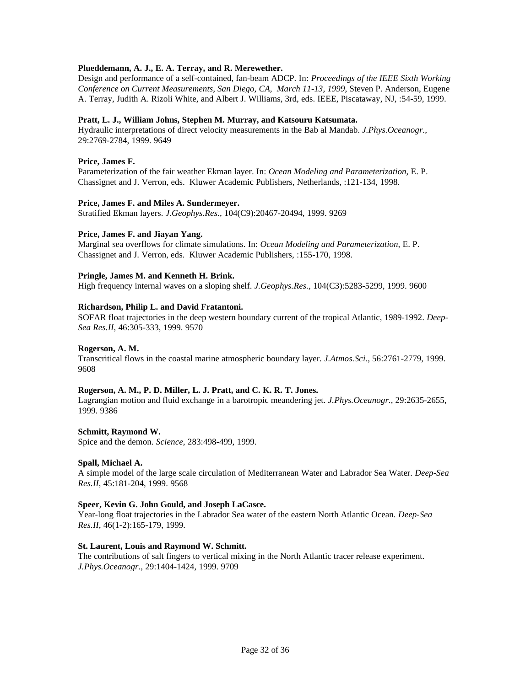# **Plueddemann, A. J., E. A. Terray, and R. Merewether.**

Design and performance of a self-contained, fan-beam ADCP. In: *Proceedings of the IEEE Sixth Working Conference on Current Measurements, San Diego, CA, March 11-13, 1999*, Steven P. Anderson, Eugene A. Terray, Judith A. Rizoli White, and Albert J. Williams, 3rd, eds. IEEE, Piscataway, NJ, :54-59, 1999.

#### **Pratt, L. J., William Johns, Stephen M. Murray, and Katsouru Katsumata.**

Hydraulic interpretations of direct velocity measurements in the Bab al Mandab. *J.Phys.Oceanogr.,* 29:2769-2784, 1999. 9649

## **Price, James F.**

Parameterization of the fair weather Ekman layer. In: *Ocean Modeling and Parameterization*, E. P. Chassignet and J. Verron, eds. Kluwer Academic Publishers, Netherlands, :121-134, 1998.

#### **Price, James F. and Miles A. Sundermeyer.**

Stratified Ekman layers. *J.Geophys.Res.,* 104(C9):20467-20494, 1999. 9269

## **Price, James F. and Jiayan Yang.**

Marginal sea overflows for climate simulations. In: *Ocean Modeling and Parameterization,* E. P. Chassignet and J. Verron, eds. Kluwer Academic Publishers, :155-170, 1998.

## **Pringle, James M. and Kenneth H. Brink.**

High frequency internal waves on a sloping shelf. *J.Geophys.Res.,* 104(C3):5283-5299, 1999. 9600

## **Richardson, Philip L. and David Fratantoni.**

SOFAR float trajectories in the deep western boundary current of the tropical Atlantic, 1989-1992. *Deep-Sea Res.II*, 46:305-333, 1999. 9570

#### **Rogerson, A. M.**

Transcritical flows in the coastal marine atmospheric boundary layer. *J.Atmos.Sci.,* 56:2761-2779, 1999. 9608

#### **Rogerson, A. M., P. D. Miller, L. J. Pratt, and C. K. R. T. Jones.**

Lagrangian motion and fluid exchange in a barotropic meandering jet. *J.Phys.Oceanogr.,* 29:2635-2655, 1999. 9386

#### **Schmitt, Raymond W.**

Spice and the demon. *Science*, 283:498-499, 1999.

#### **Spall, Michael A.**

A simple model of the large scale circulation of Mediterranean Water and Labrador Sea Water. *Deep-Sea Res.II*, 45:181-204, 1999. 9568

#### **Speer, Kevin G. John Gould, and Joseph LaCasce.**

Year-long float trajectories in the Labrador Sea water of the eastern North Atlantic Ocean. *Deep-Sea Res.II*, 46(1-2):165-179, 1999.

#### **St. Laurent, Louis and Raymond W. Schmitt.**

The contributions of salt fingers to vertical mixing in the North Atlantic tracer release experiment. *J.Phys.Oceanogr.,* 29:1404-1424, 1999. 9709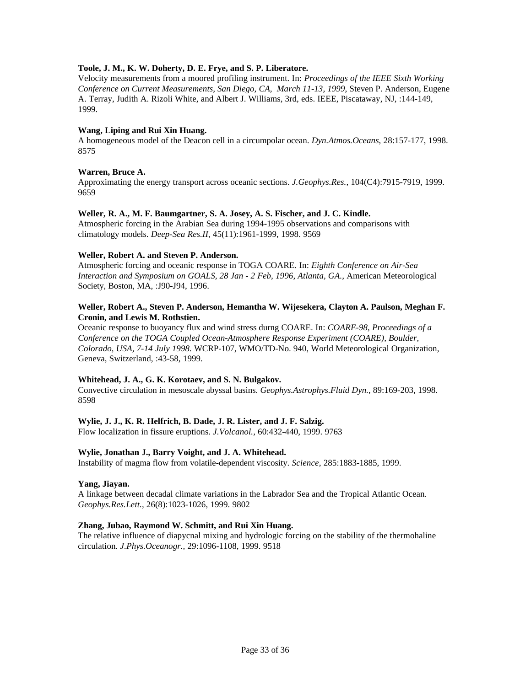# **Toole, J. M., K. W. Doherty, D. E. Frye, and S. P. Liberatore.**

Velocity measurements from a moored profiling instrument. In: *Proceedings of the IEEE Sixth Working Conference on Current Measurements, San Diego, CA, March 11-13, 1999*, Steven P. Anderson, Eugene A. Terray, Judith A. Rizoli White, and Albert J. Williams, 3rd, eds. IEEE, Piscataway, NJ, :144-149, 1999.

## **Wang, Liping and Rui Xin Huang.**

A homogeneous model of the Deacon cell in a circumpolar ocean. *Dyn.Atmos.Oceans*, 28:157-177, 1998. 8575

## **Warren, Bruce A.**

Approximating the energy transport across oceanic sections. *J.Geophys.Res.,* 104(C4):7915-7919, 1999. 9659

## **Weller, R. A., M. F. Baumgartner, S. A. Josey, A. S. Fischer, and J. C. Kindle.**

Atmospheric forcing in the Arabian Sea during 1994-1995 observations and comparisons with climatology models. *Deep-Sea Res.II*, 45(11):1961-1999, 1998. 9569

## **Weller, Robert A. and Steven P. Anderson.**

Atmospheric forcing and oceanic response in TOGA COARE. In: *Eighth Conference on Air-Sea Interaction and Symposium on GOALS, 28 Jan - 2 Feb, 1996, Atlanta, GA.,* American Meteorological Society, Boston, MA, :J90-J94, 1996.

# **Weller, Robert A., Steven P. Anderson, Hemantha W. Wijesekera, Clayton A. Paulson, Meghan F. Cronin, and Lewis M. Rothstien.**

Oceanic response to buoyancy flux and wind stress durng COARE. In: *COARE-98, Proceedings of a Conference on the TOGA Coupled Ocean-Atmosphere Response Experiment (COARE), Boulder, Colorado, USA, 7-14 July 1998.* WCRP-107, WMO/TD-No. 940, World Meteorological Organization, Geneva, Switzerland, :43-58, 1999.

# **Whitehead, J. A., G. K. Korotaev, and S. N. Bulgakov.**

Convective circulation in mesoscale abyssal basins. *Geophys.Astrophys.Fluid Dyn.,* 89:169-203, 1998. 8598

# **Wylie, J. J., K. R. Helfrich, B. Dade, J. R. Lister, and J. F. Salzig.**

Flow localization in fissure eruptions. *J.Volcanol.,* 60:432-440, 1999. 9763

#### **Wylie, Jonathan J., Barry Voight, and J. A. Whitehead.**

Instability of magma flow from volatile-dependent viscosity. *Science*, 285:1883-1885, 1999.

#### **Yang, Jiayan.**

A linkage between decadal climate variations in the Labrador Sea and the Tropical Atlantic Ocean. *Geophys.Res.Lett.,* 26(8):1023-1026, 1999. 9802

#### **Zhang, Jubao, Raymond W. Schmitt, and Rui Xin Huang.**

The relative influence of diapycnal mixing and hydrologic forcing on the stability of the thermohaline circulation. *J.Phys.Oceanogr.,* 29:1096-1108, 1999. 9518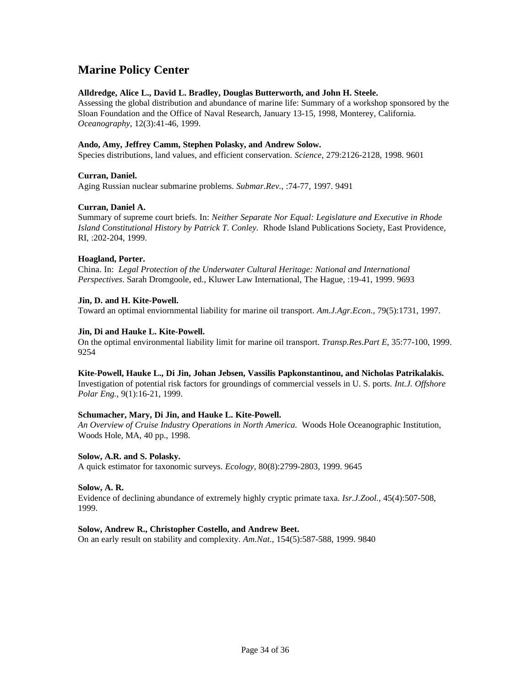# **Marine Policy Center**

# **Alldredge, Alice L., David L. Bradley, Douglas Butterworth, and John H. Steele.**

Assessing the global distribution and abundance of marine life: Summary of a workshop sponsored by the Sloan Foundation and the Office of Naval Research, January 13-15, 1998, Monterey, California. *Oceanography*, 12(3):41-46, 1999.

# **Ando, Amy, Jeffrey Camm, Stephen Polasky, and Andrew Solow.**

Species distributions, land values, and efficient conservation. *Science*, 279:2126-2128, 1998. 9601

# **Curran, Daniel.**

Aging Russian nuclear submarine problems. *Submar.Rev.,* :74-77, 1997. 9491

# **Curran, Daniel A.**

Summary of supreme court briefs. In: *Neither Separate Nor Equal: Legislature and Executive in Rhode Island Constitutional History by Patrick T. Conley.* Rhode Island Publications Society, East Providence, RI, :202-204, 1999.

## **Hoagland, Porter.**

China. In: *Legal Protection of the Underwater Cultural Heritage: National and International Perspectives*. Sarah Dromgoole, ed., Kluwer Law International, The Hague, :19-41, 1999. 9693

# **Jin, D. and H. Kite-Powell.**

Toward an optimal enviornmental liability for marine oil transport. *Am.J.Agr.Econ.,* 79(5):1731, 1997.

# **Jin, Di and Hauke L. Kite-Powell.**

On the optimal environmental liability limit for marine oil transport. *Transp.Res.Part E*, 35:77-100, 1999. 9254

#### **Kite-Powell, Hauke L., Di Jin, Johan Jebsen, Vassilis Papkonstantinou, and Nicholas Patrikalakis.**

Investigation of potential risk factors for groundings of commercial vessels in U. S. ports. *Int.J. Offshore Polar Eng.,* 9(1):16-21, 1999.

# **Schumacher, Mary, Di Jin, and Hauke L. Kite-Powell.**

*An Overview of Cruise Industry Operations in North America.* Woods Hole Oceanographic Institution, Woods Hole, MA, 40 pp., 1998.

# **Solow, A.R. and S. Polasky.**

A quick estimator for taxonomic surveys. *Ecology*, 80(8):2799-2803, 1999. 9645

# **Solow, A. R.**

Evidence of declining abundance of extremely highly cryptic primate taxa. *Isr.J.Zool.,* 45(4):507-508, 1999.

# **Solow, Andrew R., Christopher Costello, and Andrew Beet.**

On an early result on stability and complexity. *Am.Nat.,* 154(5):587-588, 1999. 9840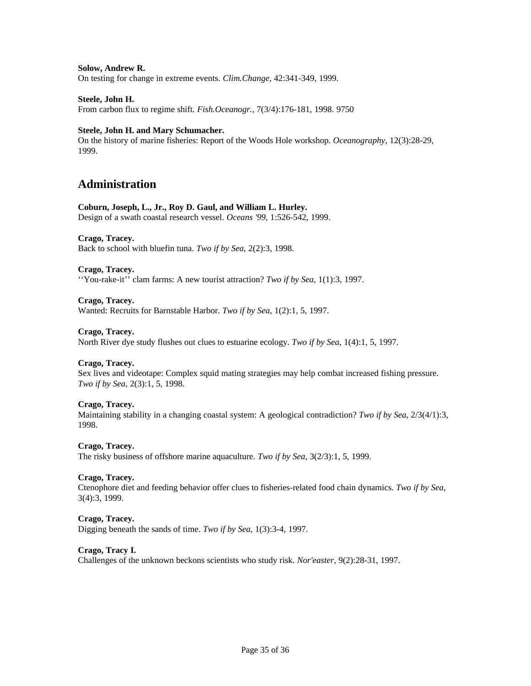## **Solow, Andrew R.**

On testing for change in extreme events. *Clim.Change*, 42:341-349, 1999.

## **Steele, John H.**

From carbon flux to regime shift. *Fish.Oceanogr.,* 7(3/4):176-181, 1998. 9750

## **Steele, John H. and Mary Schumacher.**

On the history of marine fisheries: Report of the Woods Hole workshop. *Oceanography*, 12(3):28-29, 1999.

# **Administration**

## **Coburn, Joseph, L., Jr., Roy D. Gaul, and William L. Hurley.**

Design of a swath coastal research vessel. *Oceans '99*, 1:526-542, 1999.

## **Crago, Tracey.**

Back to school with bluefin tuna. *Two if by Sea*, 2(2):3, 1998.

#### **Crago, Tracey.**

''You-rake-it'' clam farms: A new tourist attraction? *Two if by Sea*, 1(1):3, 1997.

#### **Crago, Tracey.**

Wanted: Recruits for Barnstable Harbor. *Two if by Sea*, 1(2):1, 5, 1997.

#### **Crago, Tracey.**

North River dye study flushes out clues to estuarine ecology. *Two if by Sea*, 1(4):1, 5, 1997.

# **Crago, Tracey.**

Sex lives and videotape: Complex squid mating strategies may help combat increased fishing pressure. *Two if by Sea*, 2(3):1, 5, 1998.

## **Crago, Tracey.**

Maintaining stability in a changing coastal system: A geological contradiction? *Two if by Sea*, 2/3(4/1):3, 1998.

#### **Crago, Tracey.**

The risky business of offshore marine aquaculture. *Two if by Sea*, 3(2/3):1, 5, 1999.

#### **Crago, Tracey.**

Ctenophore diet and feeding behavior offer clues to fisheries-related food chain dynamics. *Two if by Sea*, 3(4):3, 1999.

## **Crago, Tracey.**

Digging beneath the sands of time. *Two if by Sea*, 1(3):3-4, 1997.

# **Crago, Tracy I.**

Challenges of the unknown beckons scientists who study risk. *Nor'easter*, 9(2):28-31, 1997.